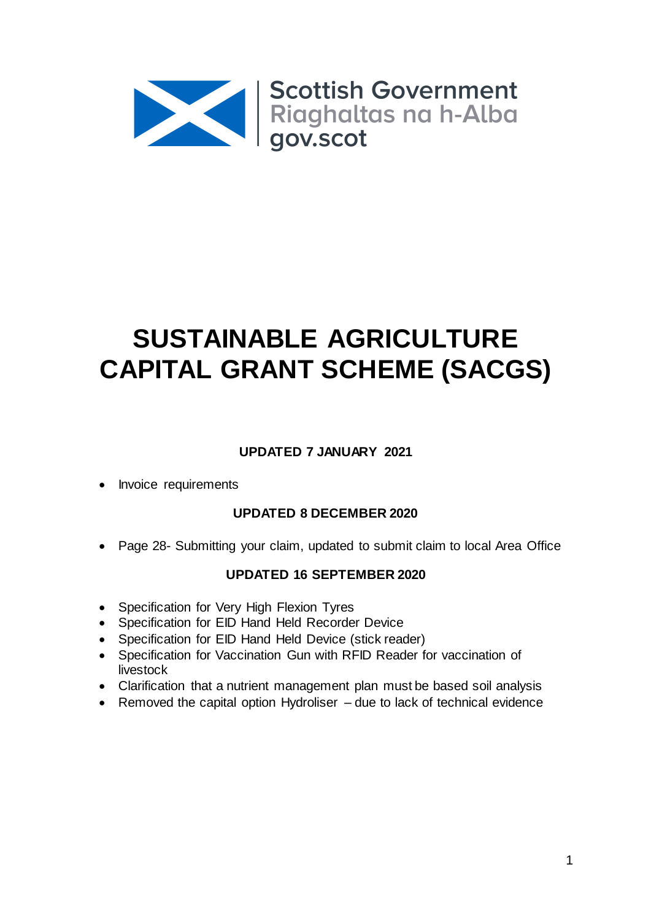

# **SUSTAINABLE AGRICULTURE CAPITAL GRANT SCHEME (SACGS)**

# **UPDATED 7 JANUARY 2021**

Invoice requirements

# **UPDATED 8 DECEMBER 2020**

Page 28- Submitting your claim, updated to submit claim to local Area Office

# **UPDATED 16 SEPTEMBER 2020**

- Specification for Very High Flexion Tyres
- Specification for EID Hand Held Recorder Device
- Specification for EID Hand Held Device (stick reader)
- Specification for Vaccination Gun with RFID Reader for vaccination of livestock
- Clarification that a nutrient management plan must be based soil analysis
- Removed the capital option Hydroliser due to lack of technical evidence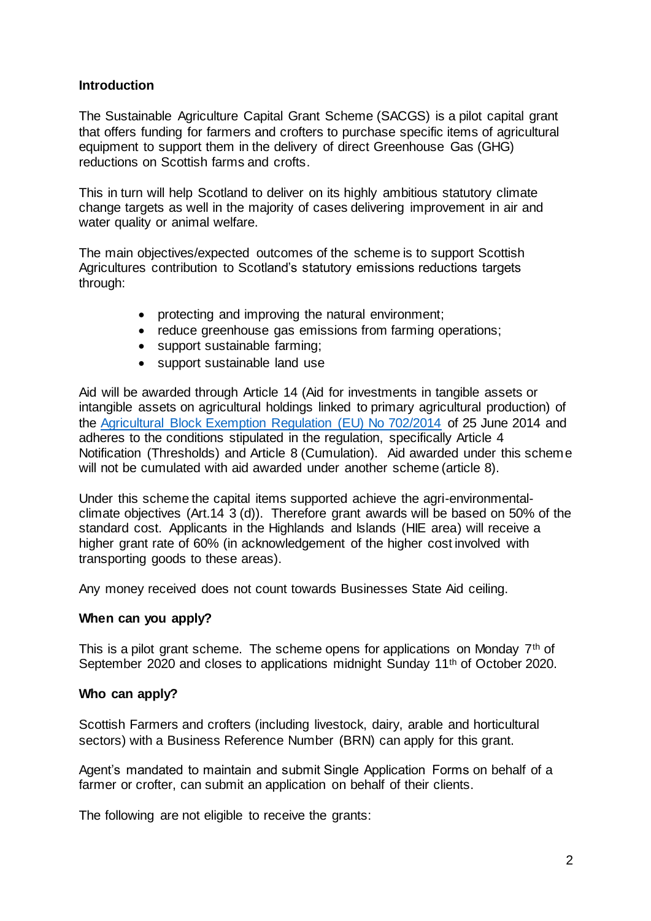## **Introduction**

The Sustainable Agriculture Capital Grant Scheme (SACGS) is a pilot capital grant that offers funding for farmers and crofters to purchase specific items of agricultural equipment to support them in the delivery of direct Greenhouse Gas (GHG) reductions on Scottish farms and crofts.

This in turn will help Scotland to deliver on its highly ambitious statutory climate change targets as well in the majority of cases delivering improvement in air and water quality or animal welfare.

The main objectives/expected outcomes of the scheme is to support Scottish Agricultures contribution to Scotland's statutory emissions reductions targets through:

- protecting and improving the natural environment;
- reduce greenhouse gas emissions from farming operations;
- support sustainable farming;
- support sustainable land use

Aid will be awarded through Article 14 (Aid for investments in tangible assets or intangible assets on agricultural holdings linked to primary agricultural production) of the [Agricultural Block Exemption Regulation \(EU\) No 702/2014](https://eur-lex.europa.eu/legal-content/EN/TXT/PDF/?uri=CELEX:32014R0702&from=en:) of 25 June 2014 and adheres to the conditions stipulated in the regulation, specifically Article 4 Notification (Thresholds) and Article 8 (Cumulation). Aid awarded under this scheme will not be cumulated with aid awarded under another scheme (article 8).

Under this scheme the capital items supported achieve the agri-environmentalclimate objectives (Art.14 3 (d)). Therefore grant awards will be based on 50% of the standard cost. Applicants in the Highlands and Islands (HIE area) will receive a higher grant rate of 60% (in acknowledgement of the higher cost involved with transporting goods to these areas).

Any money received does not count towards Businesses State Aid ceiling.

#### **When can you apply?**

This is a pilot grant scheme. The scheme opens for applications on Monday  $7<sup>th</sup>$  of September 2020 and closes to applications midnight Sunday 11<sup>th</sup> of October 2020.

#### **Who can apply?**

Scottish Farmers and crofters (including livestock, dairy, arable and horticultural sectors) with a Business Reference Number (BRN) can apply for this grant.

Agent's mandated to maintain and submit Single Application Forms on behalf of a farmer or crofter, can submit an application on behalf of their clients.

The following are not eligible to receive the grants: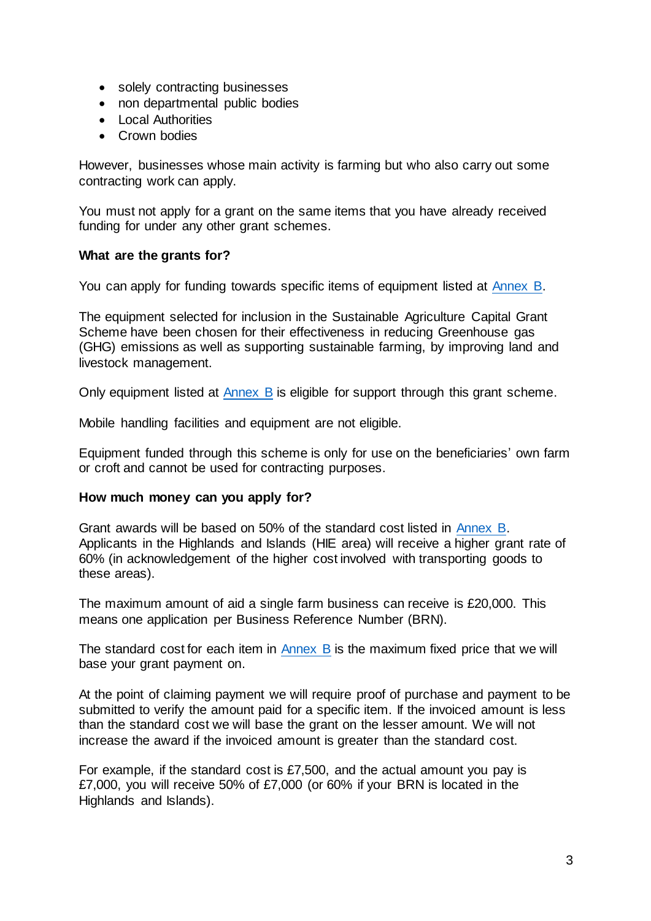- solely contracting businesses
- non departmental public bodies
- Local Authorities
- Crown bodies

However, businesses whose main activity is farming but who also carry out some contracting work can apply.

You must not apply for a grant on the same items that you have already received funding for under any other grant schemes.

## **What are the grants for?**

You can apply for funding towards specific items of equipment listed at [Annex B.](#page-13-0)

The equipment selected for inclusion in the Sustainable Agriculture Capital Grant Scheme have been chosen for their effectiveness in reducing Greenhouse gas (GHG) emissions as well as supporting sustainable farming, by improving land and livestock management.

Only equipment listed at [Annex B](#page-13-0) is eligible for support through this grant scheme.

Mobile handling facilities and equipment are not eligible.

Equipment funded through this scheme is only for use on the beneficiaries' own farm or croft and cannot be used for contracting purposes.

## **How much money can you apply for?**

Grant awards will be based on 50% of the standard cost listed in [Annex B.](#page-13-0) Applicants in the Highlands and Islands (HIE area) will receive a higher grant rate of 60% (in acknowledgement of the higher cost involved with transporting goods to these areas).

The maximum amount of aid a single farm business can receive is £20,000. This means one application per Business Reference Number (BRN).

The standard cost for each item in [Annex B](#page-13-0) is the maximum fixed price that we will base your grant payment on.

At the point of claiming payment we will require proof of purchase and payment to be submitted to verify the amount paid for a specific item. If the invoiced amount is less than the standard cost we will base the grant on the lesser amount. We will not increase the award if the invoiced amount is greater than the standard cost.

For example, if the standard cost is £7,500, and the actual amount you pay is £7,000, you will receive 50% of £7,000 (or 60% if your BRN is located in the Highlands and Islands).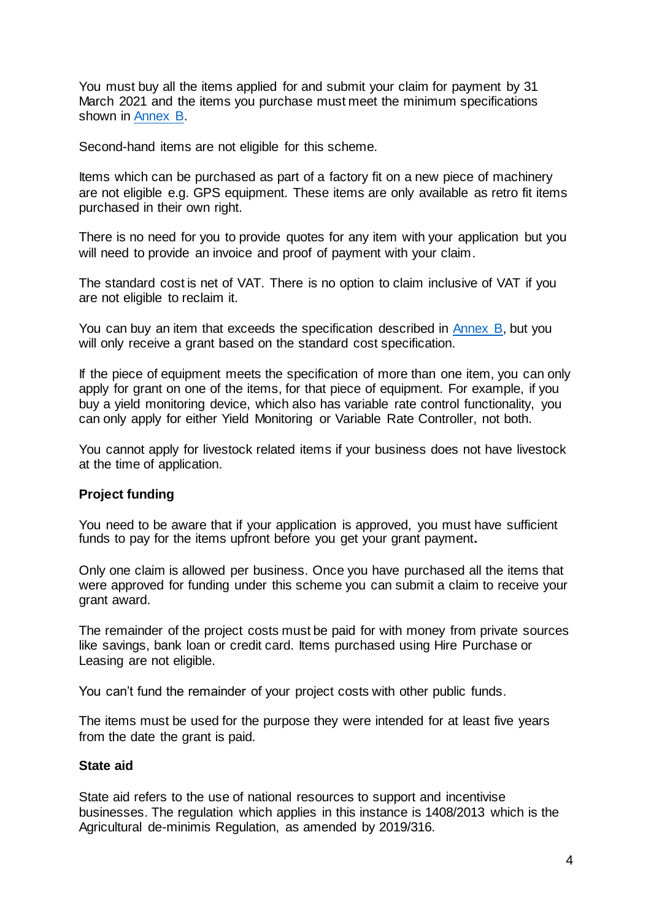You must buy all the items applied for and submit your claim for payment by 31 March 2021 and the items you purchase must meet the minimum specifications shown in [Annex B.](#page-13-0)

Second-hand items are not eligible for this scheme.

Items which can be purchased as part of a factory fit on a new piece of machinery are not eligible e.g. GPS equipment. These items are only available as retro fit items purchased in their own right.

There is no need for you to provide quotes for any item with your application but you will need to provide an invoice and proof of payment with your claim.

The standard cost is net of VAT. There is no option to claim inclusive of VAT if you are not eligible to reclaim it.

You can buy an item that exceeds the specification described in [Annex B,](#page-13-0) but you will only receive a grant based on the standard cost specification.

If the piece of equipment meets the specification of more than one item, you can only apply for grant on one of the items, for that piece of equipment. For example, if you buy a yield monitoring device, which also has variable rate control functionality, you can only apply for either Yield Monitoring or Variable Rate Controller, not both.

You cannot apply for livestock related items if your business does not have livestock at the time of application.

## **Project funding**

You need to be aware that if your application is approved, you must have sufficient funds to pay for the items upfront before you get your grant payment**.**

Only one claim is allowed per business. Once you have purchased all the items that were approved for funding under this scheme you can submit a claim to receive your grant award.

The remainder of the project costs must be paid for with money from private sources like savings, bank loan or credit card. Items purchased using Hire Purchase or Leasing are not eligible.

You can't fund the remainder of your project costs with other public funds.

The items must be used for the purpose they were intended for at least five years from the date the grant is paid.

## **State aid**

State aid refers to the use of national resources to support and incentivise businesses. The regulation which applies in this instance is 1408/2013 which is the Agricultural de-minimis Regulation, as amended by 2019/316.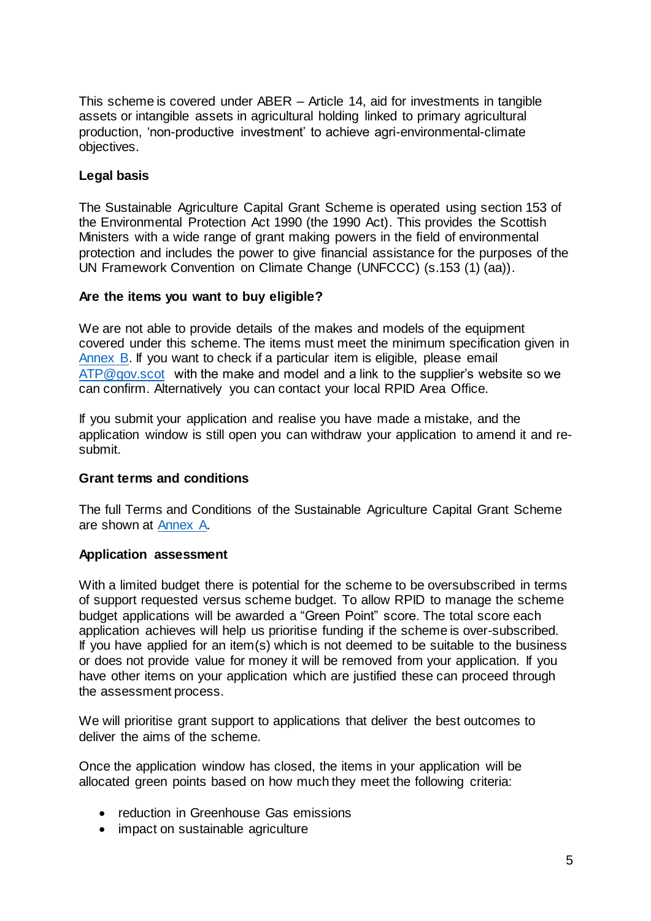This scheme is covered under ABER – Article 14, aid for investments in tangible assets or intangible assets in agricultural holding linked to primary agricultural production, 'non-productive investment' to achieve agri-environmental-climate objectives.

## **Legal basis**

The Sustainable Agriculture Capital Grant Scheme is operated using section 153 of the Environmental Protection Act 1990 (the 1990 Act). This provides the Scottish Ministers with a wide range of grant making powers in the field of environmental protection and includes the power to give financial assistance for the purposes of the UN Framework Convention on Climate Change (UNFCCC) (s.153 (1) (aa)).

## **Are the items you want to buy eligible?**

We are not able to provide details of the makes and models of the equipment covered under this scheme. The items must meet the minimum specification given in [Annex B.](#page-13-0) If you want to check if a particular item is eligible, please email [ATP@gov.scot](mailto:ATP@gov.scot) with the make and model and a link to the supplier's website so we can confirm. Alternatively you can contact your local RPID Area Office.

If you submit your application and realise you have made a mistake, and the application window is still open you can withdraw your application to amend it and resubmit.

## **Grant terms and conditions**

The full Terms and Conditions of the Sustainable Agriculture Capital Grant Scheme are shown at [Annex A.](#page-9-0)

#### **Application assessment**

With a limited budget there is potential for the scheme to be oversubscribed in terms of support requested versus scheme budget. To allow RPID to manage the scheme budget applications will be awarded a "Green Point" score. The total score each application achieves will help us prioritise funding if the scheme is over-subscribed. If you have applied for an item(s) which is not deemed to be suitable to the business or does not provide value for money it will be removed from your application. If you have other items on your application which are justified these can proceed through the assessment process.

We will prioritise grant support to applications that deliver the best outcomes to deliver the aims of the scheme.

Once the application window has closed, the items in your application will be allocated green points based on how much they meet the following criteria:

- reduction in Greenhouse Gas emissions
- impact on sustainable agriculture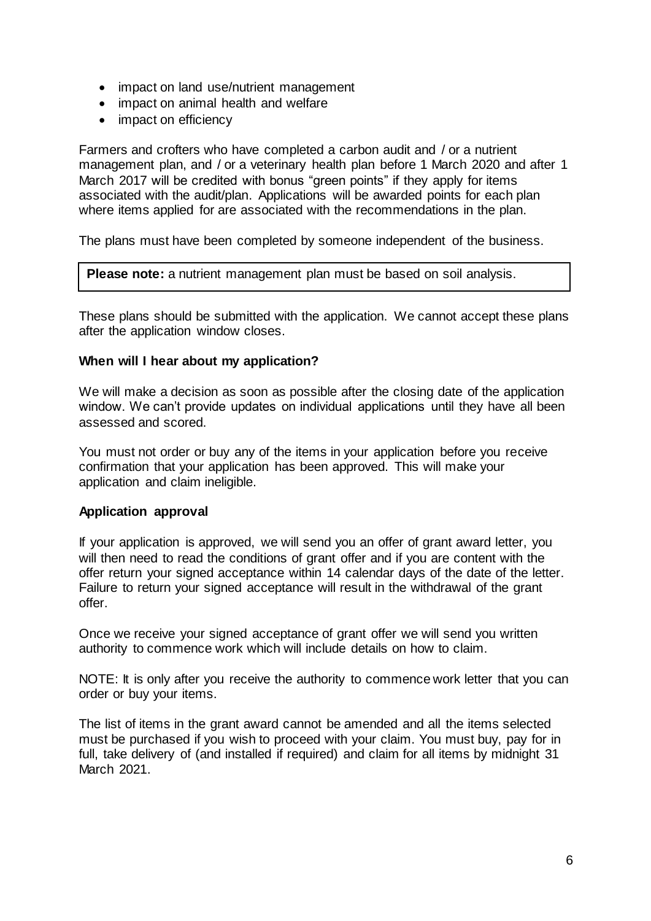- impact on land use/nutrient management
- impact on animal health and welfare
- impact on efficiency

Farmers and crofters who have completed a carbon audit and / or a nutrient management plan, and / or a veterinary health plan before 1 March 2020 and after 1 March 2017 will be credited with bonus "green points" if they apply for items associated with the audit/plan. Applications will be awarded points for each plan where items applied for are associated with the recommendations in the plan.

The plans must have been completed by someone independent of the business.

**Please note:** a nutrient management plan must be based on soil analysis.

These plans should be submitted with the application. We cannot accept these plans after the application window closes.

## **When will I hear about my application?**

We will make a decision as soon as possible after the closing date of the application window. We can't provide updates on individual applications until they have all been assessed and scored.

You must not order or buy any of the items in your application before you receive confirmation that your application has been approved. This will make your application and claim ineligible.

## **Application approval**

If your application is approved, we will send you an offer of grant award letter, you will then need to read the conditions of grant offer and if you are content with the offer return your signed acceptance within 14 calendar days of the date of the letter. Failure to return your signed acceptance will result in the withdrawal of the grant offer.

Once we receive your signed acceptance of grant offer we will send you written authority to commence work which will include details on how to claim.

NOTE: It is only after you receive the authority to commence work letter that you can order or buy your items.

The list of items in the grant award cannot be amended and all the items selected must be purchased if you wish to proceed with your claim. You must buy, pay for in full, take delivery of (and installed if required) and claim for all items by midnight 31 March 2021.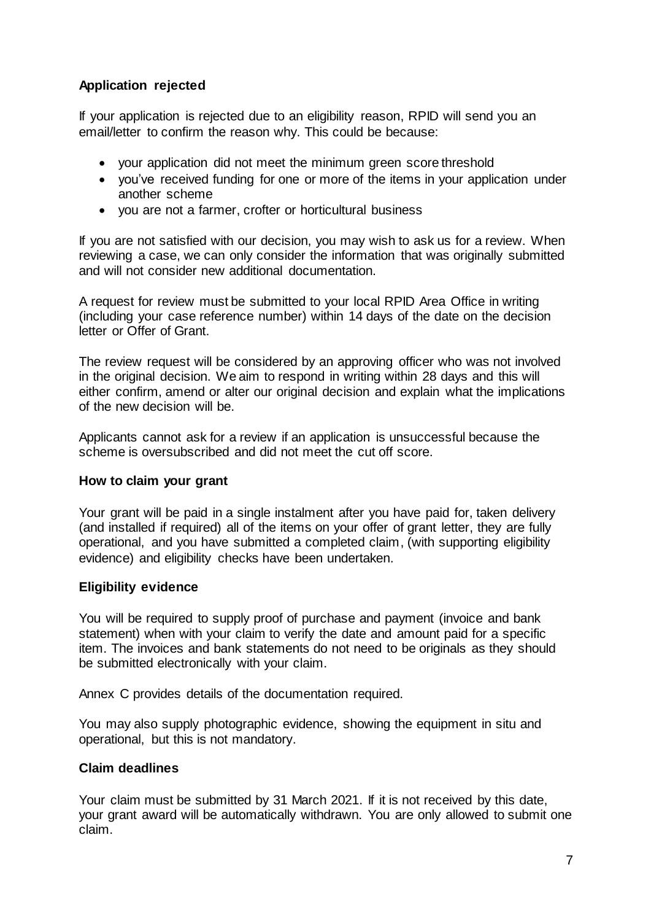# **Application rejected**

If your application is rejected due to an eligibility reason, RPID will send you an email/letter to confirm the reason why. This could be because:

- your application did not meet the minimum green score threshold
- vou've received funding for one or more of the items in your application under another scheme
- you are not a farmer, crofter or horticultural business

If you are not satisfied with our decision, you may wish to ask us for a review. When reviewing a case, we can only consider the information that was originally submitted and will not consider new additional documentation.

A request for review must be submitted to your local RPID Area Office in writing (including your case reference number) within 14 days of the date on the decision letter or Offer of Grant.

The review request will be considered by an approving officer who was not involved in the original decision. We aim to respond in writing within 28 days and this will either confirm, amend or alter our original decision and explain what the implications of the new decision will be.

Applicants cannot ask for a review if an application is unsuccessful because the scheme is oversubscribed and did not meet the cut off score.

## **How to claim your grant**

Your grant will be paid in a single instalment after you have paid for, taken delivery (and installed if required) all of the items on your offer of grant letter, they are fully operational, and you have submitted a completed claim, (with supporting eligibility evidence) and eligibility checks have been undertaken.

## **Eligibility evidence**

You will be required to supply proof of purchase and payment (invoice and bank statement) when with your claim to verify the date and amount paid for a specific item. The invoices and bank statements do not need to be originals as they should be submitted electronically with your claim.

Annex C provides details of the documentation required.

You may also supply photographic evidence, showing the equipment in situ and operational, but this is not mandatory.

## **Claim deadlines**

Your claim must be submitted by 31 March 2021. If it is not received by this date, your grant award will be automatically withdrawn. You are only allowed to submit one claim.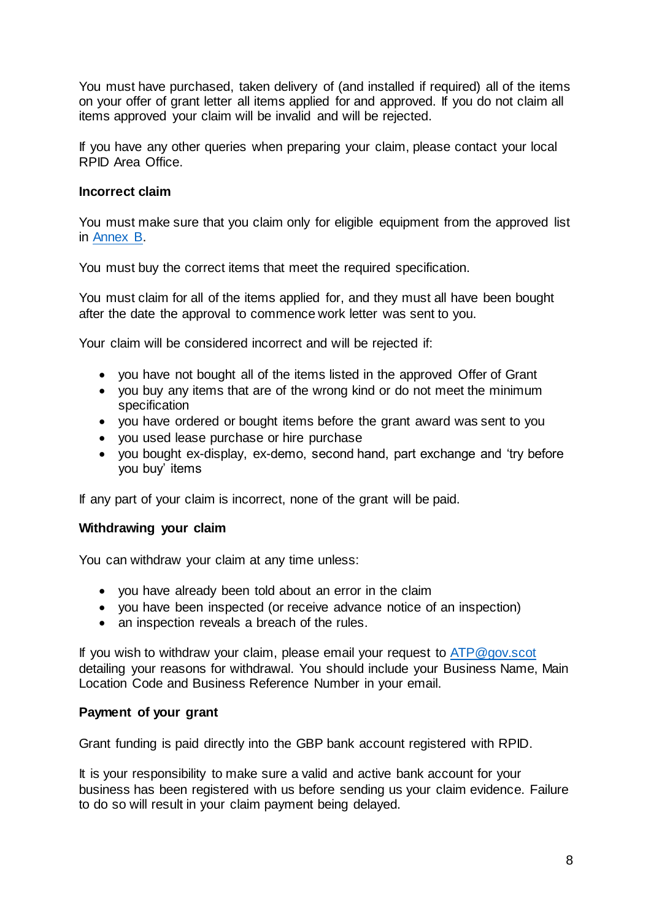You must have purchased, taken delivery of (and installed if required) all of the items on your offer of grant letter all items applied for and approved. If you do not claim all items approved your claim will be invalid and will be rejected.

If you have any other queries when preparing your claim, please contact your local RPID Area Office.

## **Incorrect claim**

You must make sure that you claim only for eligible equipment from the approved list in [Annex B.](#page-13-0)

You must buy the correct items that meet the required specification.

You must claim for all of the items applied for, and they must all have been bought after the date the approval to commence work letter was sent to you.

Your claim will be considered incorrect and will be rejected if:

- you have not bought all of the items listed in the approved Offer of Grant
- you buy any items that are of the wrong kind or do not meet the minimum specification
- you have ordered or bought items before the grant award was sent to you
- you used lease purchase or hire purchase
- you bought ex-display, ex-demo, second hand, part exchange and 'try before you buy' items

If any part of your claim is incorrect, none of the grant will be paid.

#### **Withdrawing your claim**

You can withdraw your claim at any time unless:

- you have already been told about an error in the claim
- you have been inspected (or receive advance notice of an inspection)
- an inspection reveals a breach of the rules.

If you wish to withdraw your claim, please email your request to [ATP@gov.scot](mailto:ATP@gov.scot) detailing your reasons for withdrawal. You should include your Business Name, Main Location Code and Business Reference Number in your email.

#### **Payment of your grant**

Grant funding is paid directly into the GBP bank account registered with RPID.

It is your responsibility to make sure a valid and active bank account for your business has been registered with us before sending us your claim evidence. Failure to do so will result in your claim payment being delayed.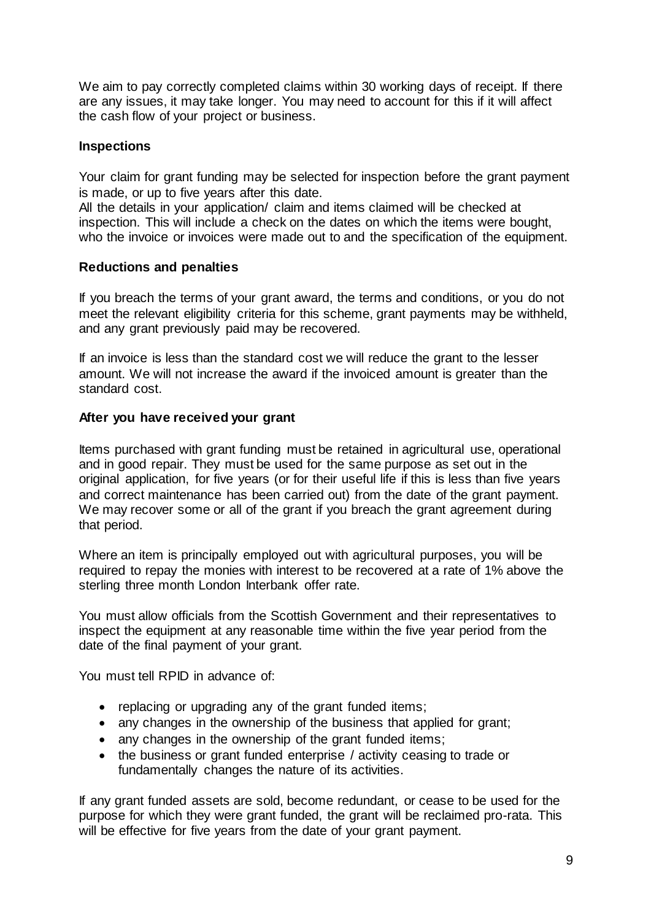We aim to pay correctly completed claims within 30 working days of receipt. If there are any issues, it may take longer. You may need to account for this if it will affect the cash flow of your project or business.

## **Inspections**

Your claim for grant funding may be selected for inspection before the grant payment is made, or up to five years after this date.

All the details in your application/ claim and items claimed will be checked at inspection. This will include a check on the dates on which the items were bought, who the invoice or invoices were made out to and the specification of the equipment.

## **Reductions and penalties**

If you breach the terms of your grant award, the terms and conditions, or you do not meet the relevant eligibility criteria for this scheme, grant payments may be withheld, and any grant previously paid may be recovered.

If an invoice is less than the standard cost we will reduce the grant to the lesser amount. We will not increase the award if the invoiced amount is greater than the standard cost.

## **After you have received your grant**

Items purchased with grant funding must be retained in agricultural use, operational and in good repair. They must be used for the same purpose as set out in the original application, for five years (or for their useful life if this is less than five years and correct maintenance has been carried out) from the date of the grant payment. We may recover some or all of the grant if you breach the grant agreement during that period.

Where an item is principally employed out with agricultural purposes, you will be required to repay the monies with interest to be recovered at a rate of 1% above the sterling three month London Interbank offer rate.

You must allow officials from the Scottish Government and their representatives to inspect the equipment at any reasonable time within the five year period from the date of the final payment of your grant.

You must tell RPID in advance of:

- replacing or upgrading any of the grant funded items;
- any changes in the ownership of the business that applied for grant;
- any changes in the ownership of the grant funded items;
- the business or grant funded enterprise / activity ceasing to trade or fundamentally changes the nature of its activities.

If any grant funded assets are sold, become redundant, or cease to be used for the purpose for which they were grant funded, the grant will be reclaimed pro-rata. This will be effective for five years from the date of your grant payment.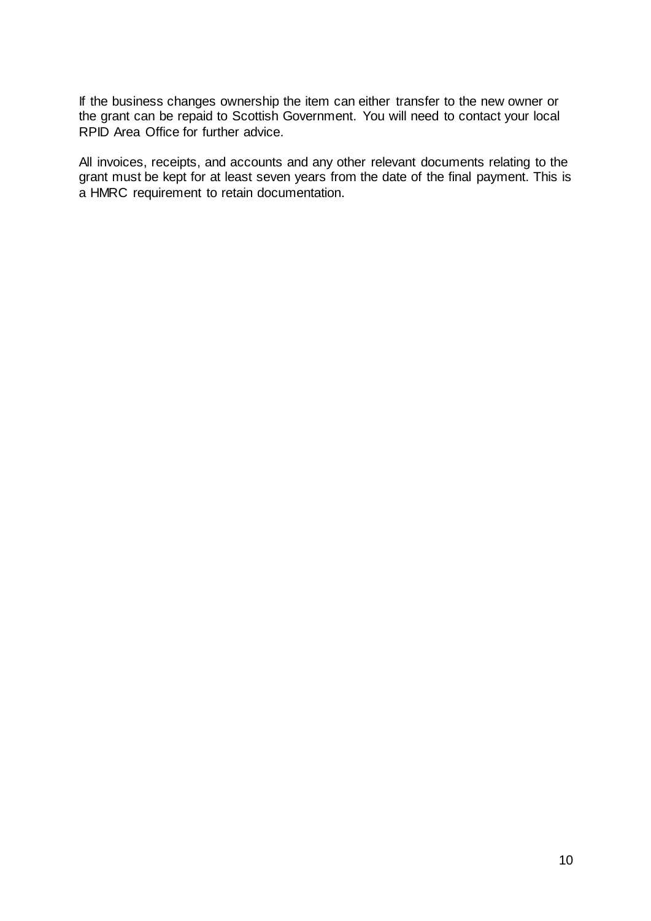If the business changes ownership the item can either transfer to the new owner or the grant can be repaid to Scottish Government. You will need to contact your local RPID Area Office for further advice.

<span id="page-9-0"></span>All invoices, receipts, and accounts and any other relevant documents relating to the grant must be kept for at least seven years from the date of the final payment. This is a HMRC requirement to retain documentation.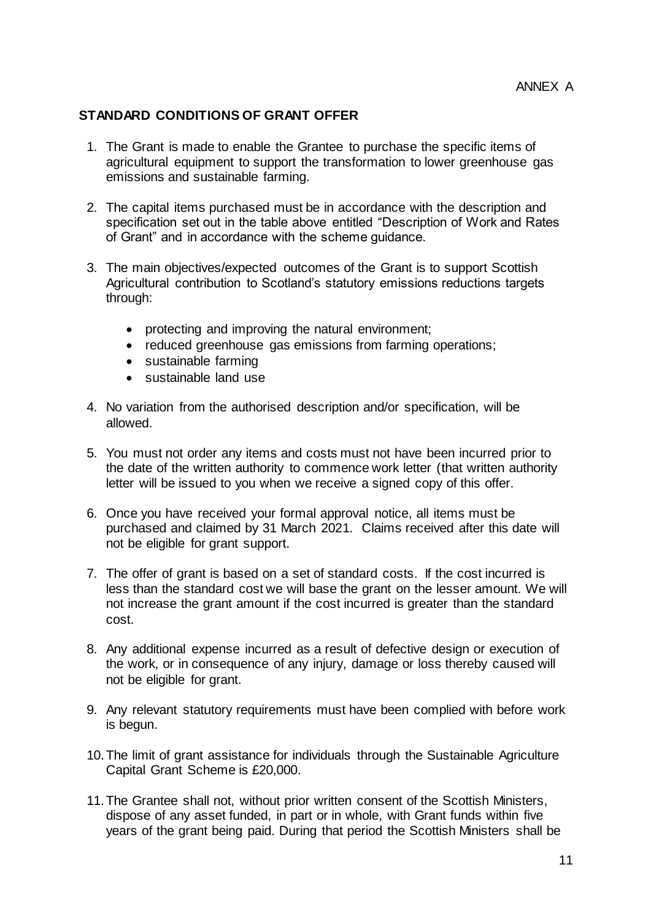## **STANDARD CONDITIONS OF GRANT OFFER**

- 1. The Grant is made to enable the Grantee to purchase the specific items of agricultural equipment to support the transformation to lower greenhouse gas emissions and sustainable farming.
- 2. The capital items purchased must be in accordance with the description and specification set out in the table above entitled "Description of Work and Rates of Grant" and in accordance with the scheme guidance.
- 3. The main objectives/expected outcomes of the Grant is to support Scottish Agricultural contribution to Scotland's statutory emissions reductions targets through:
	- protecting and improving the natural environment;
	- reduced greenhouse gas emissions from farming operations;
	- sustainable farming
	- sustainable land use
- 4. No variation from the authorised description and/or specification, will be allowed.
- 5. You must not order any items and costs must not have been incurred prior to the date of the written authority to commence work letter (that written authority letter will be issued to you when we receive a signed copy of this offer.
- 6. Once you have received your formal approval notice, all items must be purchased and claimed by 31 March 2021. Claims received after this date will not be eligible for grant support.
- 7. The offer of grant is based on a set of standard costs. If the cost incurred is less than the standard cost we will base the grant on the lesser amount. We will not increase the grant amount if the cost incurred is greater than the standard cost.
- 8. Any additional expense incurred as a result of defective design or execution of the work, or in consequence of any injury, damage or loss thereby caused will not be eligible for grant.
- 9. Any relevant statutory requirements must have been complied with before work is begun.
- 10.The limit of grant assistance for individuals through the Sustainable Agriculture Capital Grant Scheme is £20,000.
- 11.The Grantee shall not, without prior written consent of the Scottish Ministers, dispose of any asset funded, in part or in whole, with Grant funds within five years of the grant being paid. During that period the Scottish Ministers shall be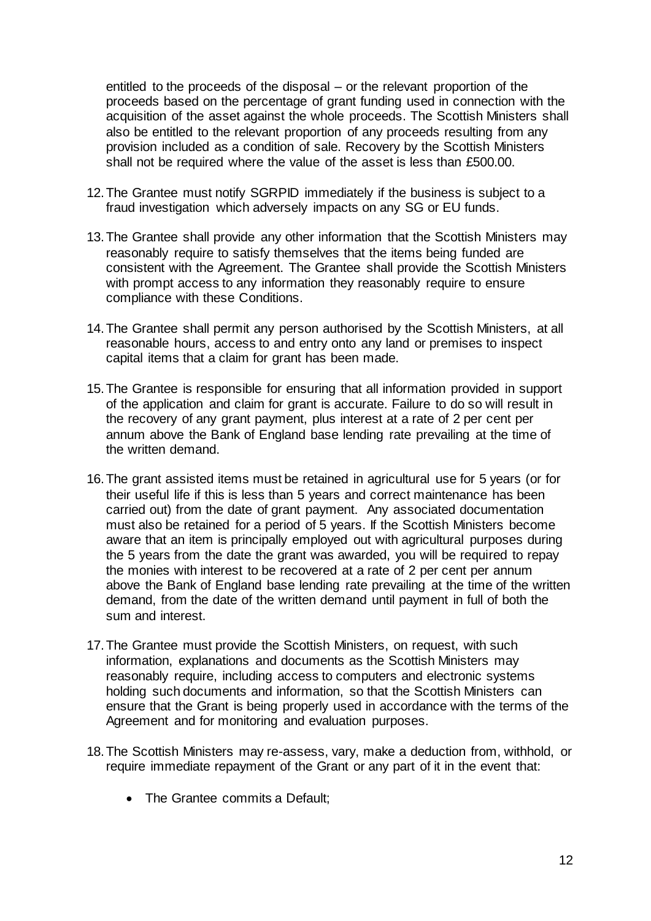entitled to the proceeds of the disposal – or the relevant proportion of the proceeds based on the percentage of grant funding used in connection with the acquisition of the asset against the whole proceeds. The Scottish Ministers shall also be entitled to the relevant proportion of any proceeds resulting from any provision included as a condition of sale. Recovery by the Scottish Ministers shall not be required where the value of the asset is less than £500.00.

- 12.The Grantee must notify SGRPID immediately if the business is subject to a fraud investigation which adversely impacts on any SG or EU funds.
- 13.The Grantee shall provide any other information that the Scottish Ministers may reasonably require to satisfy themselves that the items being funded are consistent with the Agreement. The Grantee shall provide the Scottish Ministers with prompt access to any information they reasonably require to ensure compliance with these Conditions.
- 14.The Grantee shall permit any person authorised by the Scottish Ministers, at all reasonable hours, access to and entry onto any land or premises to inspect capital items that a claim for grant has been made.
- 15.The Grantee is responsible for ensuring that all information provided in support of the application and claim for grant is accurate. Failure to do so will result in the recovery of any grant payment, plus interest at a rate of 2 per cent per annum above the Bank of England base lending rate prevailing at the time of the written demand.
- 16.The grant assisted items must be retained in agricultural use for 5 years (or for their useful life if this is less than 5 years and correct maintenance has been carried out) from the date of grant payment. Any associated documentation must also be retained for a period of 5 years. If the Scottish Ministers become aware that an item is principally employed out with agricultural purposes during the 5 years from the date the grant was awarded, you will be required to repay the monies with interest to be recovered at a rate of 2 per cent per annum above the Bank of England base lending rate prevailing at the time of the written demand, from the date of the written demand until payment in full of both the sum and interest.
- 17.The Grantee must provide the Scottish Ministers, on request, with such information, explanations and documents as the Scottish Ministers may reasonably require, including access to computers and electronic systems holding such documents and information, so that the Scottish Ministers can ensure that the Grant is being properly used in accordance with the terms of the Agreement and for monitoring and evaluation purposes.
- 18.The Scottish Ministers may re-assess, vary, make a deduction from, withhold, or require immediate repayment of the Grant or any part of it in the event that:
	- The Grantee commits a Default;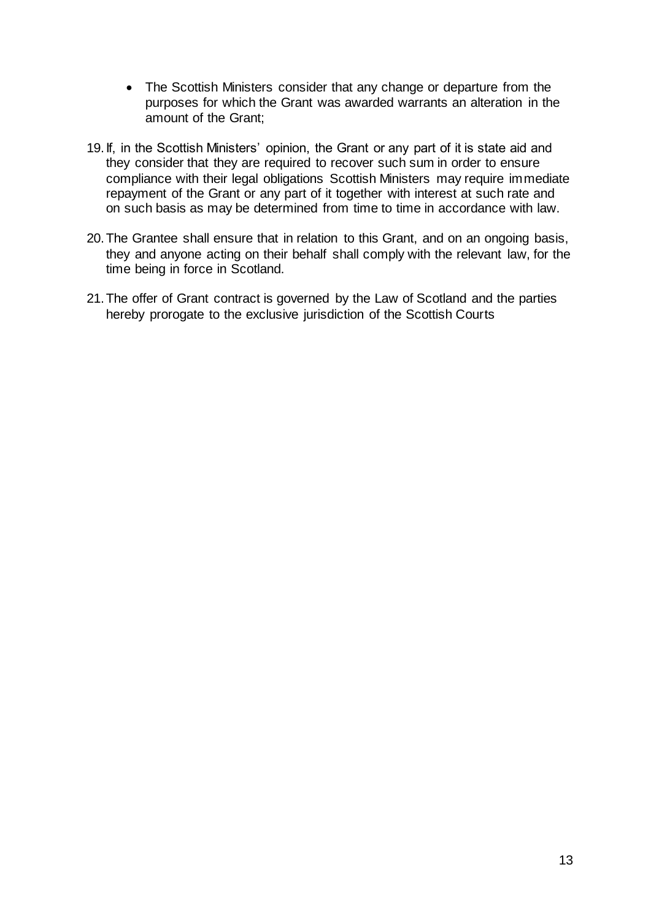- The Scottish Ministers consider that any change or departure from the purposes for which the Grant was awarded warrants an alteration in the amount of the Grant;
- 19.If, in the Scottish Ministers' opinion, the Grant or any part of it is state aid and they consider that they are required to recover such sum in order to ensure compliance with their legal obligations Scottish Ministers may require immediate repayment of the Grant or any part of it together with interest at such rate and on such basis as may be determined from time to time in accordance with law.
- 20.The Grantee shall ensure that in relation to this Grant, and on an ongoing basis, they and anyone acting on their behalf shall comply with the relevant law, for the time being in force in Scotland.
- 21.The offer of Grant contract is governed by the Law of Scotland and the parties hereby prorogate to the exclusive jurisdiction of the Scottish Courts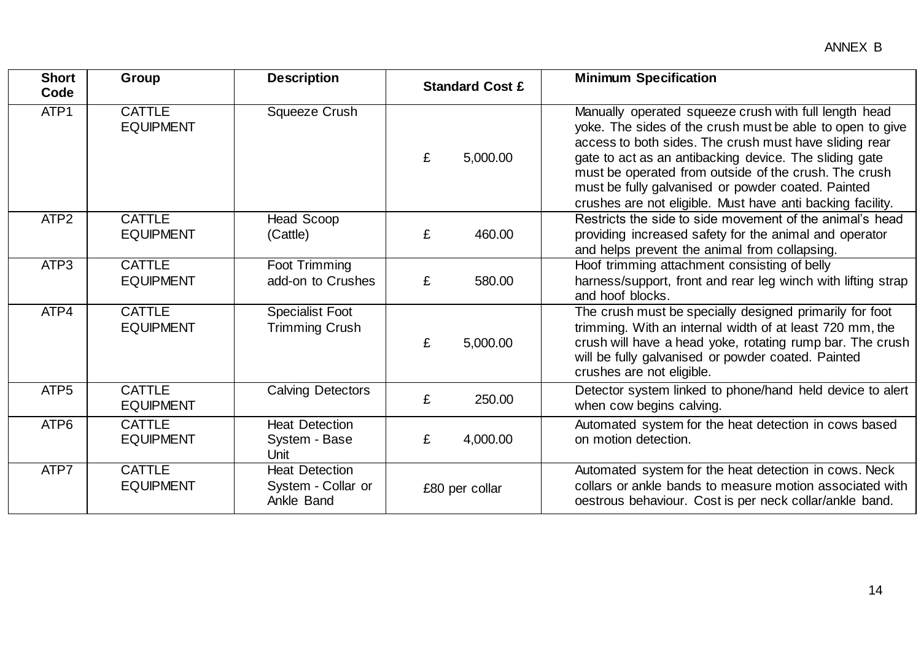<span id="page-13-0"></span>

| <b>Short</b><br>Code | Group                             | <b>Description</b>                                        |   | <b>Standard Cost £</b> | <b>Minimum Specification</b>                                                                                                                                                                                                                                                                                                                                                                                        |
|----------------------|-----------------------------------|-----------------------------------------------------------|---|------------------------|---------------------------------------------------------------------------------------------------------------------------------------------------------------------------------------------------------------------------------------------------------------------------------------------------------------------------------------------------------------------------------------------------------------------|
| ATP <sub>1</sub>     | <b>CATTLE</b><br><b>EQUIPMENT</b> | Squeeze Crush                                             | £ | 5,000.00               | Manually operated squeeze crush with full length head<br>yoke. The sides of the crush must be able to open to give<br>access to both sides. The crush must have sliding rear<br>gate to act as an antibacking device. The sliding gate<br>must be operated from outside of the crush. The crush<br>must be fully galvanised or powder coated. Painted<br>crushes are not eligible. Must have anti backing facility. |
| ATP <sub>2</sub>     | <b>CATTLE</b><br><b>EQUIPMENT</b> | Head Scoop<br>(Cattle)                                    | £ | 460.00                 | Restricts the side to side movement of the animal's head<br>providing increased safety for the animal and operator<br>and helps prevent the animal from collapsing.                                                                                                                                                                                                                                                 |
| ATP3                 | <b>CATTLE</b><br><b>EQUIPMENT</b> | Foot Trimming<br>add-on to Crushes                        | £ | 580.00                 | Hoof trimming attachment consisting of belly<br>harness/support, front and rear leg winch with lifting strap<br>and hoof blocks.                                                                                                                                                                                                                                                                                    |
| ATP4                 | <b>CATTLE</b><br><b>EQUIPMENT</b> | <b>Specialist Foot</b><br><b>Trimming Crush</b>           | £ | 5,000.00               | The crush must be specially designed primarily for foot<br>trimming. With an internal width of at least 720 mm, the<br>crush will have a head yoke, rotating rump bar. The crush<br>will be fully galvanised or powder coated. Painted<br>crushes are not eligible.                                                                                                                                                 |
| ATP <sub>5</sub>     | <b>CATTLE</b><br><b>EQUIPMENT</b> | <b>Calving Detectors</b>                                  | £ | 250.00                 | Detector system linked to phone/hand held device to alert<br>when cow begins calving.                                                                                                                                                                                                                                                                                                                               |
| ATP6                 | <b>CATTLE</b><br><b>EQUIPMENT</b> | <b>Heat Detection</b><br>System - Base<br>Unit            | £ | 4,000.00               | Automated system for the heat detection in cows based<br>on motion detection.                                                                                                                                                                                                                                                                                                                                       |
| ATP7                 | <b>CATTLE</b><br><b>EQUIPMENT</b> | <b>Heat Detection</b><br>System - Collar or<br>Ankle Band |   | £80 per collar         | Automated system for the heat detection in cows. Neck<br>collars or ankle bands to measure motion associated with<br>oestrous behaviour. Cost is per neck collar/ankle band.                                                                                                                                                                                                                                        |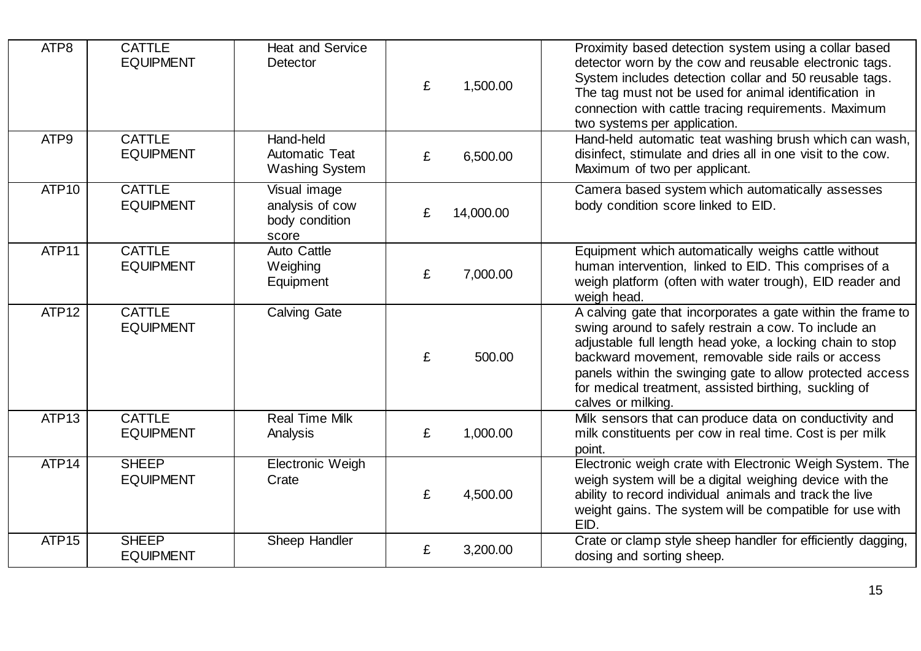| ATP8              | <b>CATTLE</b><br><b>EQUIPMENT</b> | <b>Heat and Service</b><br><b>Detector</b>                 | £ | 1,500.00  | Proximity based detection system using a collar based<br>detector worn by the cow and reusable electronic tags.<br>System includes detection collar and 50 reusable tags.<br>The tag must not be used for animal identification in<br>connection with cattle tracing requirements. Maximum<br>two systems per application.                                                        |
|-------------------|-----------------------------------|------------------------------------------------------------|---|-----------|-----------------------------------------------------------------------------------------------------------------------------------------------------------------------------------------------------------------------------------------------------------------------------------------------------------------------------------------------------------------------------------|
| ATP <sub>9</sub>  | <b>CATTLE</b><br><b>EQUIPMENT</b> | Hand-held<br>Automatic Teat<br><b>Washing System</b>       | £ | 6,500.00  | Hand-held automatic teat washing brush which can wash,<br>disinfect, stimulate and dries all in one visit to the cow.<br>Maximum of two per applicant.                                                                                                                                                                                                                            |
| ATP <sub>10</sub> | <b>CATTLE</b><br><b>EQUIPMENT</b> | Visual image<br>analysis of cow<br>body condition<br>score | £ | 14,000.00 | Camera based system which automatically assesses<br>body condition score linked to EID.                                                                                                                                                                                                                                                                                           |
| ATP11             | <b>CATTLE</b><br><b>EQUIPMENT</b> | <b>Auto Cattle</b><br>Weighing<br>Equipment                | £ | 7,000.00  | Equipment which automatically weighs cattle without<br>human intervention, linked to EID. This comprises of a<br>weigh platform (often with water trough), EID reader and<br>weigh head.                                                                                                                                                                                          |
| ATP <sub>12</sub> | <b>CATTLE</b><br><b>EQUIPMENT</b> | <b>Calving Gate</b>                                        | £ | 500.00    | A calving gate that incorporates a gate within the frame to<br>swing around to safely restrain a cow. To include an<br>adjustable full length head yoke, a locking chain to stop<br>backward movement, removable side rails or access<br>panels within the swinging gate to allow protected access<br>for medical treatment, assisted birthing, suckling of<br>calves or milking. |
| ATP <sub>13</sub> | <b>CATTLE</b><br><b>EQUIPMENT</b> | <b>Real Time Milk</b><br>Analysis                          | £ | 1,000.00  | Milk sensors that can produce data on conductivity and<br>milk constituents per cow in real time. Cost is per milk<br>point.                                                                                                                                                                                                                                                      |
| ATP <sub>14</sub> | <b>SHEEP</b><br><b>EQUIPMENT</b>  | <b>Electronic Weigh</b><br>Crate                           | £ | 4,500.00  | Electronic weigh crate with Electronic Weigh System. The<br>weigh system will be a digital weighing device with the<br>ability to record individual animals and track the live<br>weight gains. The system will be compatible for use with<br>EID.                                                                                                                                |
| ATP <sub>15</sub> | <b>SHEEP</b><br><b>EQUIPMENT</b>  | Sheep Handler                                              | £ | 3,200.00  | Crate or clamp style sheep handler for efficiently dagging,<br>dosing and sorting sheep.                                                                                                                                                                                                                                                                                          |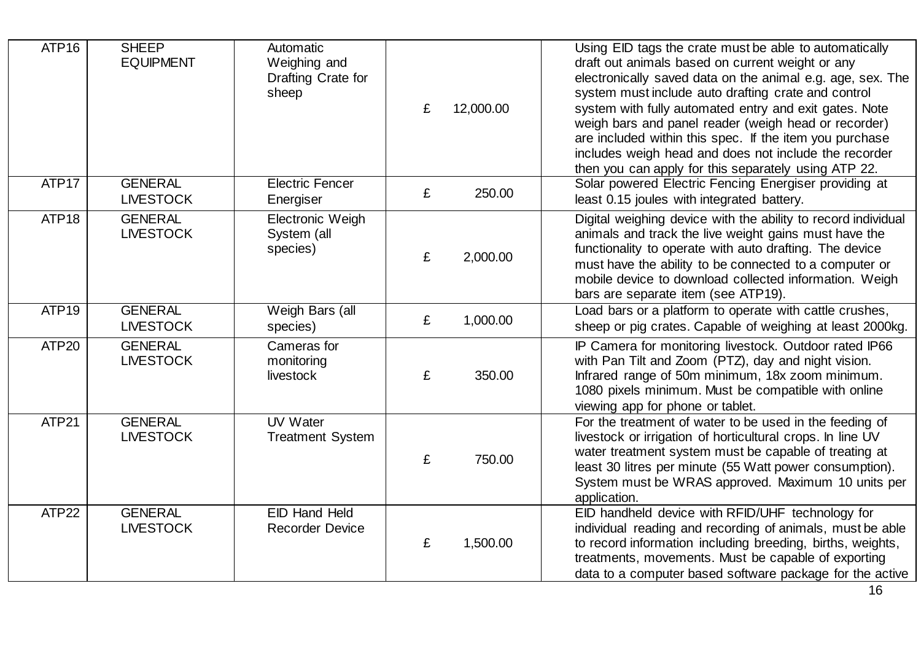| ATP <sub>16</sub> | <b>SHEEP</b><br><b>EQUIPMENT</b>   | Automatic<br>Weighing and<br>Drafting Crate for<br>sheep | £ | 12,000.00 | Using EID tags the crate must be able to automatically<br>draft out animals based on current weight or any<br>electronically saved data on the animal e.g. age, sex. The<br>system must include auto drafting crate and control<br>system with fully automated entry and exit gates. Note<br>weigh bars and panel reader (weigh head or recorder)<br>are included within this spec. If the item you purchase<br>includes weigh head and does not include the recorder<br>then you can apply for this separately using ATP 22. |
|-------------------|------------------------------------|----------------------------------------------------------|---|-----------|-------------------------------------------------------------------------------------------------------------------------------------------------------------------------------------------------------------------------------------------------------------------------------------------------------------------------------------------------------------------------------------------------------------------------------------------------------------------------------------------------------------------------------|
| ATP17             | <b>GENERAL</b><br><b>LIVESTOCK</b> | <b>Electric Fencer</b><br>Energiser                      | £ | 250.00    | Solar powered Electric Fencing Energiser providing at<br>least 0.15 joules with integrated battery.                                                                                                                                                                                                                                                                                                                                                                                                                           |
| ATP <sub>18</sub> | <b>GENERAL</b><br><b>LIVESTOCK</b> | Electronic Weigh<br>System (all<br>species)              | £ | 2,000.00  | Digital weighing device with the ability to record individual<br>animals and track the live weight gains must have the<br>functionality to operate with auto drafting. The device<br>must have the ability to be connected to a computer or<br>mobile device to download collected information. Weigh<br>bars are separate item (see ATP19).                                                                                                                                                                                  |
| ATP <sub>19</sub> | <b>GENERAL</b><br><b>LIVESTOCK</b> | Weigh Bars (all<br>species)                              | £ | 1,000.00  | Load bars or a platform to operate with cattle crushes,<br>sheep or pig crates. Capable of weighing at least 2000kg.                                                                                                                                                                                                                                                                                                                                                                                                          |
| ATP20             | <b>GENERAL</b><br><b>LIVESTOCK</b> | Cameras for<br>monitoring<br>livestock                   | £ | 350.00    | IP Camera for monitoring livestock. Outdoor rated IP66<br>with Pan Tilt and Zoom (PTZ), day and night vision.<br>Infrared range of 50m minimum, 18x zoom minimum.<br>1080 pixels minimum. Must be compatible with online<br>viewing app for phone or tablet.                                                                                                                                                                                                                                                                  |
| ATP21             | <b>GENERAL</b><br><b>LIVESTOCK</b> | UV Water<br><b>Treatment System</b>                      | £ | 750.00    | For the treatment of water to be used in the feeding of<br>livestock or irrigation of horticultural crops. In line UV<br>water treatment system must be capable of treating at<br>least 30 litres per minute (55 Watt power consumption).<br>System must be WRAS approved. Maximum 10 units per<br>application.                                                                                                                                                                                                               |
| ATP22             | <b>GENERAL</b><br><b>LIVESTOCK</b> | <b>EID Hand Held</b><br><b>Recorder Device</b>           | £ | 1,500.00  | EID handheld device with RFID/UHF technology for<br>individual reading and recording of animals, must be able<br>to record information including breeding, births, weights,<br>treatments, movements. Must be capable of exporting<br>data to a computer based software package for the active                                                                                                                                                                                                                                |
|                   |                                    |                                                          |   |           | 16                                                                                                                                                                                                                                                                                                                                                                                                                                                                                                                            |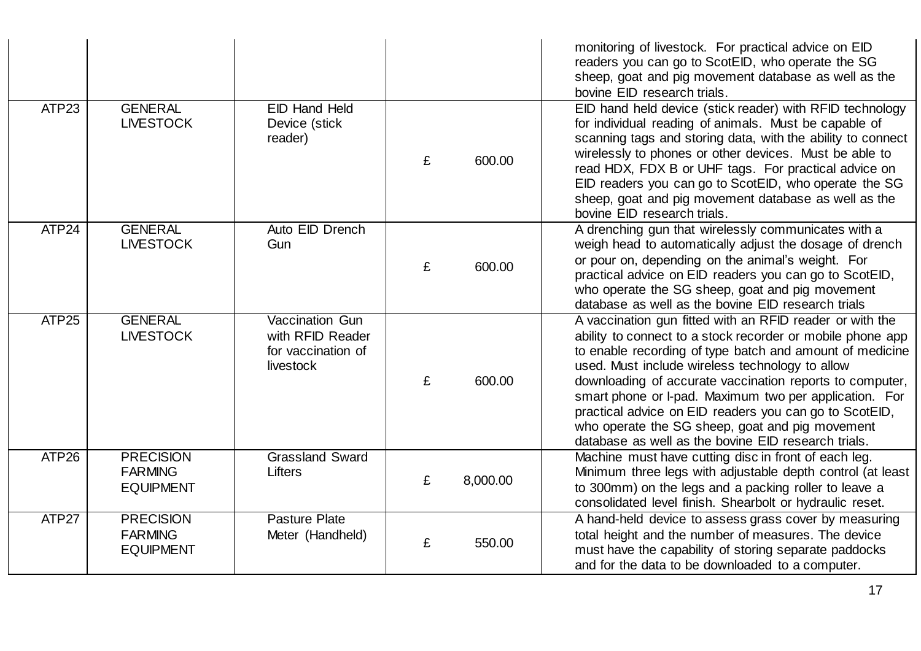|                   |                                                        |                                                                        |   |          | monitoring of livestock. For practical advice on EID<br>readers you can go to ScotEID, who operate the SG<br>sheep, goat and pig movement database as well as the<br>bovine EID research trials.                                                                                                                                                                                                                                                                                                                                |
|-------------------|--------------------------------------------------------|------------------------------------------------------------------------|---|----------|---------------------------------------------------------------------------------------------------------------------------------------------------------------------------------------------------------------------------------------------------------------------------------------------------------------------------------------------------------------------------------------------------------------------------------------------------------------------------------------------------------------------------------|
| ATP23             | <b>GENERAL</b><br><b>LIVESTOCK</b>                     | <b>EID Hand Held</b><br>Device (stick<br>reader)                       | £ | 600.00   | EID hand held device (stick reader) with RFID technology<br>for individual reading of animals. Must be capable of<br>scanning tags and storing data, with the ability to connect<br>wirelessly to phones or other devices. Must be able to<br>read HDX, FDX B or UHF tags. For practical advice on<br>EID readers you can go to ScotEID, who operate the SG<br>sheep, goat and pig movement database as well as the<br>bovine EID research trials.                                                                              |
| ATP24             | <b>GENERAL</b><br><b>LIVESTOCK</b>                     | Auto EID Drench<br>Gun                                                 | £ | 600.00   | A drenching gun that wirelessly communicates with a<br>weigh head to automatically adjust the dosage of drench<br>or pour on, depending on the animal's weight. For<br>practical advice on EID readers you can go to ScotEID,<br>who operate the SG sheep, goat and pig movement<br>database as well as the bovine EID research trials                                                                                                                                                                                          |
| ATP <sub>25</sub> | <b>GENERAL</b><br><b>LIVESTOCK</b>                     | Vaccination Gun<br>with RFID Reader<br>for vaccination of<br>livestock | £ | 600.00   | A vaccination gun fitted with an RFID reader or with the<br>ability to connect to a stock recorder or mobile phone app<br>to enable recording of type batch and amount of medicine<br>used. Must include wireless technology to allow<br>downloading of accurate vaccination reports to computer,<br>smart phone or I-pad. Maximum two per application. For<br>practical advice on EID readers you can go to ScotEID,<br>who operate the SG sheep, goat and pig movement<br>database as well as the bovine EID research trials. |
| ATP <sub>26</sub> | <b>PRECISION</b><br><b>FARMING</b><br><b>EQUIPMENT</b> | <b>Grassland Sward</b><br>Lifters                                      | £ | 8,000.00 | Machine must have cutting disc in front of each leg.<br>Minimum three legs with adjustable depth control (at least<br>to 300mm) on the legs and a packing roller to leave a<br>consolidated level finish. Shearbolt or hydraulic reset.                                                                                                                                                                                                                                                                                         |
| ATP27             | <b>PRECISION</b><br><b>FARMING</b><br><b>EQUIPMENT</b> | <b>Pasture Plate</b><br>Meter (Handheld)                               | £ | 550.00   | A hand-held device to assess grass cover by measuring<br>total height and the number of measures. The device<br>must have the capability of storing separate paddocks<br>and for the data to be downloaded to a computer.                                                                                                                                                                                                                                                                                                       |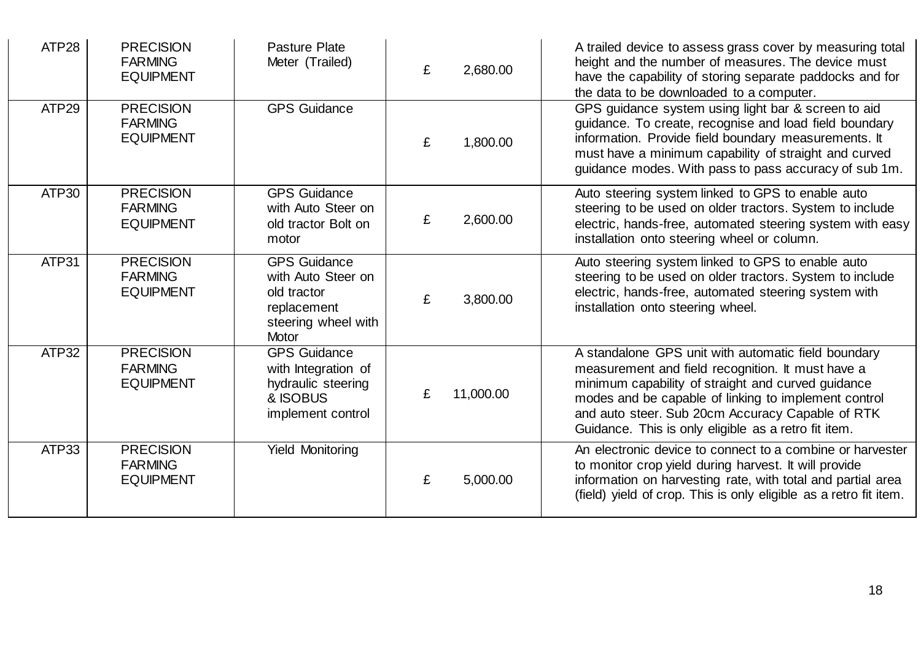| ATP28 | <b>PRECISION</b><br><b>FARMING</b><br><b>EQUIPMENT</b> | Pasture Plate<br>Meter (Trailed)                                                                        | £ | 2,680.00  | A trailed device to assess grass cover by measuring total<br>height and the number of measures. The device must<br>have the capability of storing separate paddocks and for<br>the data to be downloaded to a computer.                                                                                                            |
|-------|--------------------------------------------------------|---------------------------------------------------------------------------------------------------------|---|-----------|------------------------------------------------------------------------------------------------------------------------------------------------------------------------------------------------------------------------------------------------------------------------------------------------------------------------------------|
| ATP29 | <b>PRECISION</b><br><b>FARMING</b><br><b>EQUIPMENT</b> | <b>GPS Guidance</b>                                                                                     | £ | 1,800.00  | GPS guidance system using light bar & screen to aid<br>guidance. To create, recognise and load field boundary<br>information. Provide field boundary measurements. It<br>must have a minimum capability of straight and curved<br>guidance modes. With pass to pass accuracy of sub 1m.                                            |
| ATP30 | <b>PRECISION</b><br><b>FARMING</b><br><b>EQUIPMENT</b> | <b>GPS Guidance</b><br>with Auto Steer on<br>old tractor Bolt on<br>motor                               | £ | 2,600.00  | Auto steering system linked to GPS to enable auto<br>steering to be used on older tractors. System to include<br>electric, hands-free, automated steering system with easy<br>installation onto steering wheel or column.                                                                                                          |
| ATP31 | <b>PRECISION</b><br><b>FARMING</b><br><b>EQUIPMENT</b> | <b>GPS Guidance</b><br>with Auto Steer on<br>old tractor<br>replacement<br>steering wheel with<br>Motor | £ | 3,800.00  | Auto steering system linked to GPS to enable auto<br>steering to be used on older tractors. System to include<br>electric, hands-free, automated steering system with<br>installation onto steering wheel.                                                                                                                         |
| ATP32 | <b>PRECISION</b><br><b>FARMING</b><br><b>EQUIPMENT</b> | <b>GPS Guidance</b><br>with Integration of<br>hydraulic steering<br>& ISOBUS<br>implement control       | £ | 11,000.00 | A standalone GPS unit with automatic field boundary<br>measurement and field recognition. It must have a<br>minimum capability of straight and curved guidance<br>modes and be capable of linking to implement control<br>and auto steer. Sub 20cm Accuracy Capable of RTK<br>Guidance. This is only eligible as a retro fit item. |
| ATP33 | <b>PRECISION</b><br><b>FARMING</b><br><b>EQUIPMENT</b> | <b>Yield Monitoring</b>                                                                                 | £ | 5,000.00  | An electronic device to connect to a combine or harvester<br>to monitor crop yield during harvest. It will provide<br>information on harvesting rate, with total and partial area<br>(field) yield of crop. This is only eligible as a retro fit item.                                                                             |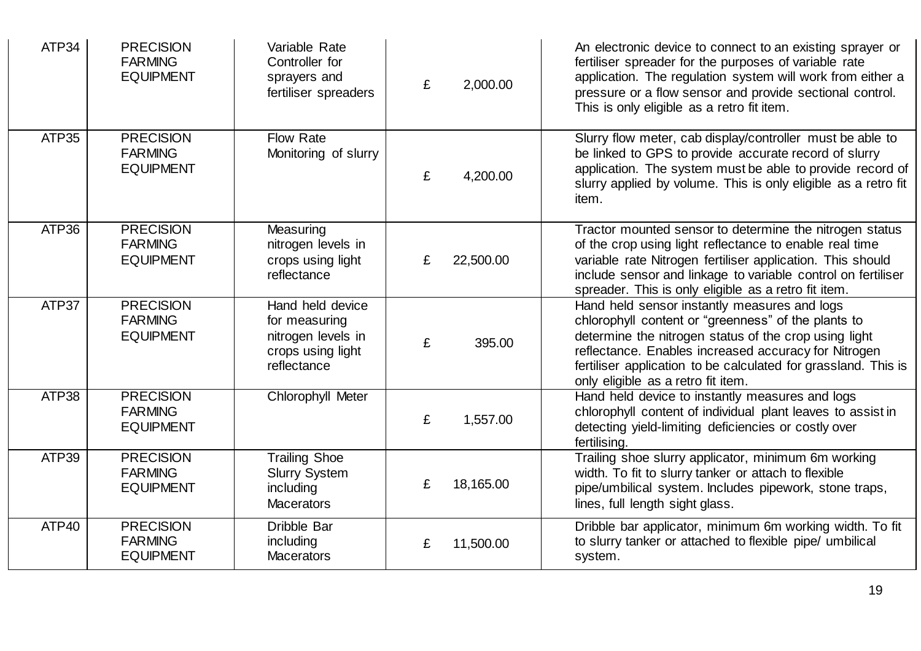| ATP34 | <b>PRECISION</b><br><b>FARMING</b><br><b>EQUIPMENT</b> | Variable Rate<br>Controller for<br>sprayers and<br>fertiliser spreaders                     | £ | 2,000.00  | An electronic device to connect to an existing sprayer or<br>fertiliser spreader for the purposes of variable rate<br>application. The regulation system will work from either a<br>pressure or a flow sensor and provide sectional control.<br>This is only eligible as a retro fit item.                                   |
|-------|--------------------------------------------------------|---------------------------------------------------------------------------------------------|---|-----------|------------------------------------------------------------------------------------------------------------------------------------------------------------------------------------------------------------------------------------------------------------------------------------------------------------------------------|
| ATP35 | <b>PRECISION</b><br><b>FARMING</b><br><b>EQUIPMENT</b> | <b>Flow Rate</b><br>Monitoring of slurry                                                    | £ | 4,200.00  | Slurry flow meter, cab display/controller must be able to<br>be linked to GPS to provide accurate record of slurry<br>application. The system must be able to provide record of<br>slurry applied by volume. This is only eligible as a retro fit<br>item.                                                                   |
| ATP36 | <b>PRECISION</b><br><b>FARMING</b><br><b>EQUIPMENT</b> | Measuring<br>nitrogen levels in<br>crops using light<br>reflectance                         | £ | 22,500.00 | Tractor mounted sensor to determine the nitrogen status<br>of the crop using light reflectance to enable real time<br>variable rate Nitrogen fertiliser application. This should<br>include sensor and linkage to variable control on fertiliser<br>spreader. This is only eligible as a retro fit item.                     |
| ATP37 | <b>PRECISION</b><br><b>FARMING</b><br><b>EQUIPMENT</b> | Hand held device<br>for measuring<br>nitrogen levels in<br>crops using light<br>reflectance | £ | 395.00    | Hand held sensor instantly measures and logs<br>chlorophyll content or "greenness" of the plants to<br>determine the nitrogen status of the crop using light<br>reflectance. Enables increased accuracy for Nitrogen<br>fertiliser application to be calculated for grassland. This is<br>only eligible as a retro fit item. |
| ATP38 | <b>PRECISION</b><br><b>FARMING</b><br><b>EQUIPMENT</b> | Chlorophyll Meter                                                                           | £ | 1,557.00  | Hand held device to instantly measures and logs<br>chlorophyll content of individual plant leaves to assist in<br>detecting yield-limiting deficiencies or costly over<br>fertilising.                                                                                                                                       |
| ATP39 | <b>PRECISION</b><br><b>FARMING</b><br><b>EQUIPMENT</b> | <b>Trailing Shoe</b><br><b>Slurry System</b><br>including<br><b>Macerators</b>              | £ | 18,165.00 | Trailing shoe slurry applicator, minimum 6m working<br>width. To fit to slurry tanker or attach to flexible<br>pipe/umbilical system. Includes pipework, stone traps,<br>lines, full length sight glass.                                                                                                                     |
| ATP40 | <b>PRECISION</b><br><b>FARMING</b><br><b>EQUIPMENT</b> | Dribble Bar<br>including<br><b>Macerators</b>                                               | £ | 11,500.00 | Dribble bar applicator, minimum 6m working width. To fit<br>to slurry tanker or attached to flexible pipe/ umbilical<br>system.                                                                                                                                                                                              |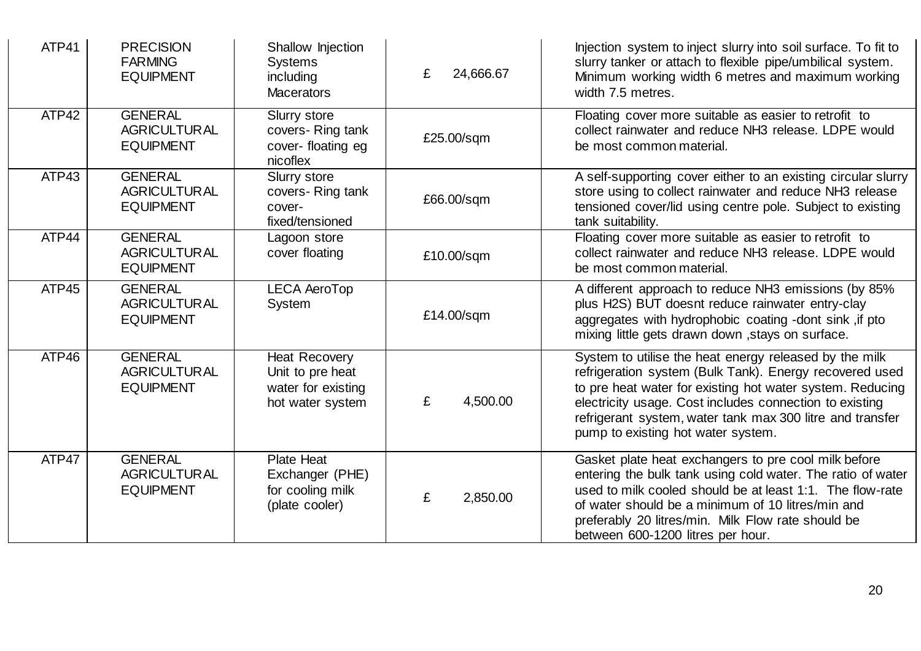| ATP41 | <b>PRECISION</b><br><b>FARMING</b><br><b>EQUIPMENT</b>    | Shallow Injection<br><b>Systems</b><br>including<br><b>Macerators</b>              | 24,666.67<br>£ | Injection system to inject slurry into soil surface. To fit to<br>slurry tanker or attach to flexible pipe/umbilical system.<br>Minimum working width 6 metres and maximum working<br>width 7.5 metres.                                                                                                                                      |
|-------|-----------------------------------------------------------|------------------------------------------------------------------------------------|----------------|----------------------------------------------------------------------------------------------------------------------------------------------------------------------------------------------------------------------------------------------------------------------------------------------------------------------------------------------|
| ATP42 | <b>GENERAL</b><br><b>AGRICULTURAL</b><br><b>EQUIPMENT</b> | Slurry store<br>covers-Ring tank<br>cover-floating eg<br>nicoflex                  | £25.00/sqm     | Floating cover more suitable as easier to retrofit to<br>collect rainwater and reduce NH3 release. LDPE would<br>be most common material.                                                                                                                                                                                                    |
| ATP43 | <b>GENERAL</b><br><b>AGRICULTURAL</b><br><b>EQUIPMENT</b> | Slurry store<br>covers-Ring tank<br>cover-<br>fixed/tensioned                      | £66.00/sqm     | A self-supporting cover either to an existing circular slurry<br>store using to collect rainwater and reduce NH3 release<br>tensioned cover/lid using centre pole. Subject to existing<br>tank suitability.                                                                                                                                  |
| ATP44 | <b>GENERAL</b><br><b>AGRICULTURAL</b><br><b>EQUIPMENT</b> | Lagoon store<br>cover floating                                                     | £10.00/sqm     | Floating cover more suitable as easier to retrofit to<br>collect rainwater and reduce NH3 release. LDPE would<br>be most common material.                                                                                                                                                                                                    |
| ATP45 | <b>GENERAL</b><br><b>AGRICULTURAL</b><br><b>EQUIPMENT</b> | <b>LECA AeroTop</b><br>System                                                      | £14.00/sqm     | A different approach to reduce NH3 emissions (by 85%<br>plus H2S) BUT doesnt reduce rainwater entry-clay<br>aggregates with hydrophobic coating -dont sink, if pto<br>mixing little gets drawn down , stays on surface.                                                                                                                      |
| ATP46 | <b>GENERAL</b><br><b>AGRICULTURAL</b><br><b>EQUIPMENT</b> | <b>Heat Recovery</b><br>Unit to pre heat<br>water for existing<br>hot water system | £<br>4,500.00  | System to utilise the heat energy released by the milk<br>refrigeration system (Bulk Tank). Energy recovered used<br>to pre heat water for existing hot water system. Reducing<br>electricity usage. Cost includes connection to existing<br>refrigerant system, water tank max 300 litre and transfer<br>pump to existing hot water system. |
| ATP47 | <b>GENERAL</b><br><b>AGRICULTURAL</b><br><b>EQUIPMENT</b> | <b>Plate Heat</b><br>Exchanger (PHE)<br>for cooling milk<br>(plate cooler)         | £<br>2,850.00  | Gasket plate heat exchangers to pre cool milk before<br>entering the bulk tank using cold water. The ratio of water<br>used to milk cooled should be at least 1:1. The flow-rate<br>of water should be a minimum of 10 litres/min and<br>preferably 20 litres/min. Milk Flow rate should be<br>between 600-1200 litres per hour.             |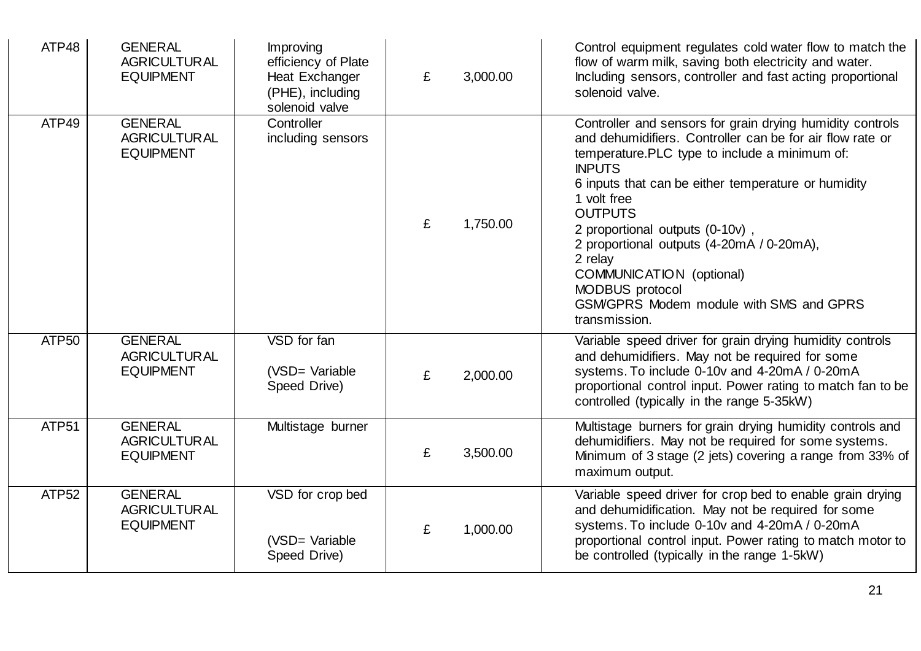| ATP48             | <b>GENERAL</b><br><b>AGRICULTURAL</b><br><b>EQUIPMENT</b> | Improving<br>efficiency of Plate<br>Heat Exchanger<br>(PHE), including<br>solenoid valve | £ | 3,000.00 | Control equipment regulates cold water flow to match the<br>flow of warm milk, saving both electricity and water.<br>Including sensors, controller and fast acting proportional<br>solenoid valve.                                                                                                                                                                                                                                                                                     |
|-------------------|-----------------------------------------------------------|------------------------------------------------------------------------------------------|---|----------|----------------------------------------------------------------------------------------------------------------------------------------------------------------------------------------------------------------------------------------------------------------------------------------------------------------------------------------------------------------------------------------------------------------------------------------------------------------------------------------|
| ATP49             | <b>GENERAL</b><br><b>AGRICULTURAL</b><br><b>EQUIPMENT</b> | Controller<br>including sensors                                                          | £ | 1,750.00 | Controller and sensors for grain drying humidity controls<br>and dehumidifiers. Controller can be for air flow rate or<br>temperature.PLC type to include a minimum of:<br><b>INPUTS</b><br>6 inputs that can be either temperature or humidity<br>1 volt free<br><b>OUTPUTS</b><br>2 proportional outputs (0-10v),<br>2 proportional outputs (4-20mA / 0-20mA),<br>2 relay<br>COMMUNICATION (optional)<br>MODBUS protocol<br>GSM/GPRS Modem module with SMS and GPRS<br>transmission. |
| ATP <sub>50</sub> | <b>GENERAL</b><br><b>AGRICULTURAL</b><br><b>EQUIPMENT</b> | VSD for fan<br>(VSD= Variable<br>Speed Drive)                                            | £ | 2,000.00 | Variable speed driver for grain drying humidity controls<br>and dehumidifiers. May not be required for some<br>systems. To include 0-10v and 4-20mA / 0-20mA<br>proportional control input. Power rating to match fan to be<br>controlled (typically in the range 5-35kW)                                                                                                                                                                                                              |
| ATP51             | <b>GENERAL</b><br><b>AGRICULTURAL</b><br><b>EQUIPMENT</b> | Multistage burner                                                                        | £ | 3,500.00 | Multistage burners for grain drying humidity controls and<br>dehumidifiers. May not be required for some systems.<br>Minimum of 3 stage (2 jets) covering a range from 33% of<br>maximum output.                                                                                                                                                                                                                                                                                       |
| ATP <sub>52</sub> | <b>GENERAL</b><br><b>AGRICULTURAL</b><br><b>EQUIPMENT</b> | VSD for crop bed<br>(VSD= Variable<br>Speed Drive)                                       | £ | 1,000.00 | Variable speed driver for crop bed to enable grain drying<br>and dehumidification. May not be required for some<br>systems. To include 0-10v and 4-20mA / 0-20mA<br>proportional control input. Power rating to match motor to<br>be controlled (typically in the range 1-5kW)                                                                                                                                                                                                         |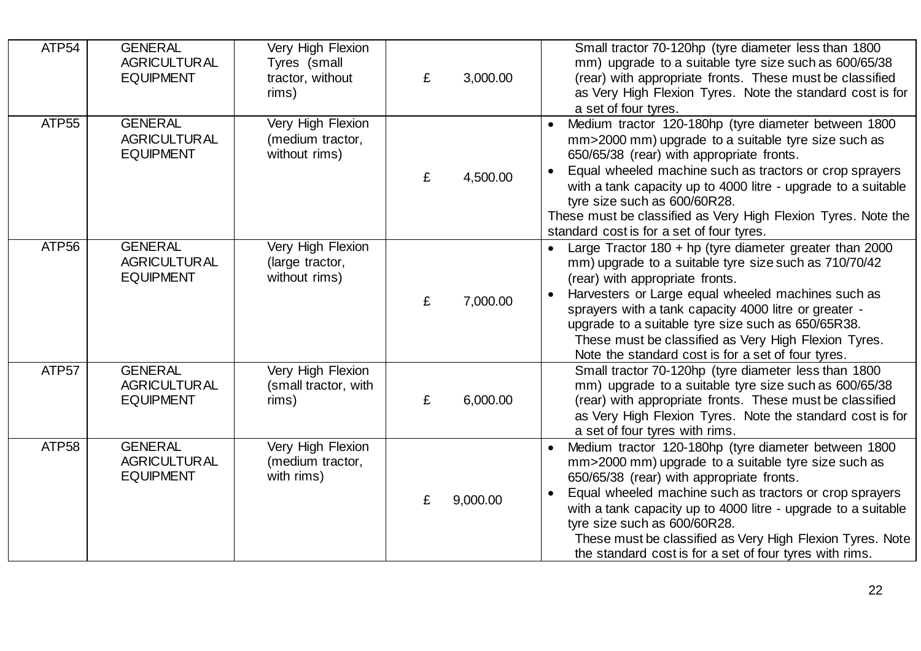| ATP <sub>54</sub> | <b>GENERAL</b><br><b>AGRICULTURAL</b><br><b>EQUIPMENT</b> | Very High Flexion<br>Tyres (small<br>tractor, without<br>rims) | £ | 3,000.00 | Small tractor 70-120hp (tyre diameter less than 1800<br>mm) upgrade to a suitable tyre size such as 600/65/38<br>(rear) with appropriate fronts. These must be classified<br>as Very High Flexion Tyres. Note the standard cost is for<br>a set of four tyres.                                                                                                                                                                                                         |
|-------------------|-----------------------------------------------------------|----------------------------------------------------------------|---|----------|------------------------------------------------------------------------------------------------------------------------------------------------------------------------------------------------------------------------------------------------------------------------------------------------------------------------------------------------------------------------------------------------------------------------------------------------------------------------|
| ATP <sub>55</sub> | <b>GENERAL</b><br><b>AGRICULTURAL</b><br><b>EQUIPMENT</b> | Very High Flexion<br>(medium tractor,<br>without rims)         | £ | 4,500.00 | Medium tractor 120-180hp (tyre diameter between 1800<br>$\bullet$<br>mm>2000 mm) upgrade to a suitable tyre size such as<br>650/65/38 (rear) with appropriate fronts.<br>Equal wheeled machine such as tractors or crop sprayers<br>with a tank capacity up to 4000 litre - upgrade to a suitable<br>tyre size such as 600/60R28.<br>These must be classified as Very High Flexion Tyres. Note the<br>standard cost is for a set of four tyres.                        |
| ATP <sub>56</sub> | <b>GENERAL</b><br><b>AGRICULTURAL</b><br><b>EQUIPMENT</b> | Very High Flexion<br>(large tractor,<br>without rims)          | £ | 7,000.00 | Large Tractor $180 + hp$ (tyre diameter greater than 2000<br>mm) upgrade to a suitable tyre size such as 710/70/42<br>(rear) with appropriate fronts.<br>Harvesters or Large equal wheeled machines such as<br>$\bullet$<br>sprayers with a tank capacity 4000 litre or greater -<br>upgrade to a suitable tyre size such as 650/65R38.<br>These must be classified as Very High Flexion Tyres.<br>Note the standard cost is for a set of four tyres.                  |
| ATP <sub>57</sub> | <b>GENERAL</b><br><b>AGRICULTURAL</b><br><b>EQUIPMENT</b> | Very High Flexion<br>(small tractor, with<br>rims)             | £ | 6,000.00 | Small tractor 70-120hp (tyre diameter less than 1800<br>mm) upgrade to a suitable tyre size such as 600/65/38<br>(rear) with appropriate fronts. These must be classified<br>as Very High Flexion Tyres. Note the standard cost is for<br>a set of four tyres with rims.                                                                                                                                                                                               |
| ATP <sub>58</sub> | <b>GENERAL</b><br><b>AGRICULTURAL</b><br><b>EQUIPMENT</b> | Very High Flexion<br>(medium tractor,<br>with rims)            | £ | 9,000.00 | Medium tractor 120-180hp (tyre diameter between 1800<br>$\bullet$<br>mm>2000 mm) upgrade to a suitable tyre size such as<br>650/65/38 (rear) with appropriate fronts.<br>Equal wheeled machine such as tractors or crop sprayers<br>$\bullet$<br>with a tank capacity up to 4000 litre - upgrade to a suitable<br>tyre size such as 600/60R28.<br>These must be classified as Very High Flexion Tyres. Note<br>the standard cost is for a set of four tyres with rims. |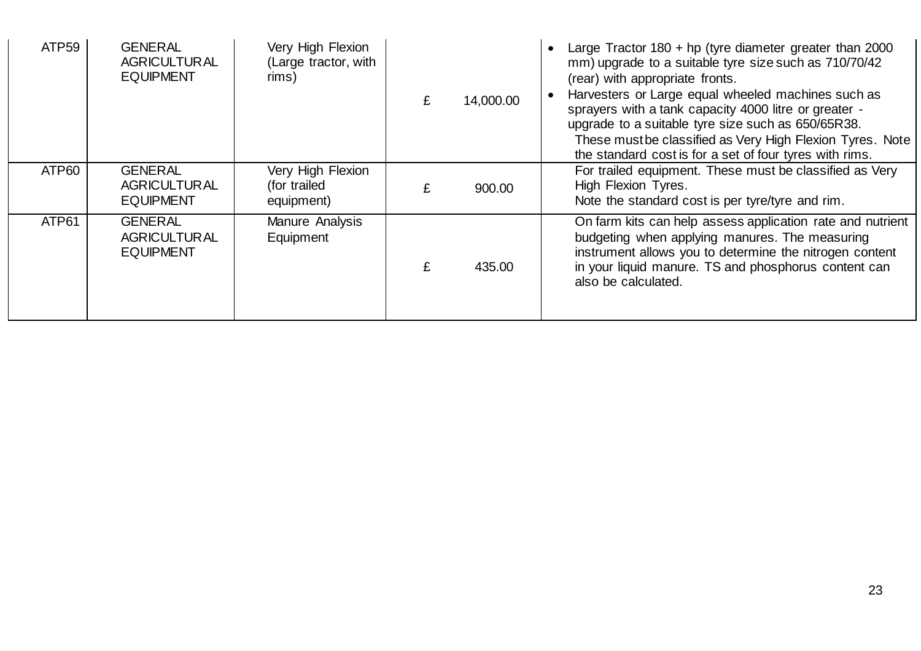| ATP <sub>59</sub> | <b>GENERAL</b><br><b>AGRICULTURAL</b><br><b>EQUIPMENT</b> | Very High Flexion<br>(Large tractor, with<br>rims) | 14,000.00 | Large Tractor $180 + hp$ (tyre diameter greater than 2000<br>mm) upgrade to a suitable tyre size such as 710/70/42<br>(rear) with appropriate fronts.<br>Harvesters or Large equal wheeled machines such as<br>sprayers with a tank capacity 4000 litre or greater -<br>upgrade to a suitable tyre size such as 650/65R38.<br>These must be classified as Very High Flexion Tyres. Note<br>the standard cost is for a set of four tyres with rims. |
|-------------------|-----------------------------------------------------------|----------------------------------------------------|-----------|----------------------------------------------------------------------------------------------------------------------------------------------------------------------------------------------------------------------------------------------------------------------------------------------------------------------------------------------------------------------------------------------------------------------------------------------------|
| ATP60             | <b>GENERAL</b><br><b>AGRICULTURAL</b><br><b>EQUIPMENT</b> | Very High Flexion<br>(for trailed<br>equipment)    | 900.00    | For trailed equipment. These must be classified as Very<br>High Flexion Tyres.<br>Note the standard cost is per tyre/tyre and rim.                                                                                                                                                                                                                                                                                                                 |
| ATP61             | <b>GENERAL</b><br><b>AGRICULTURAL</b><br><b>EQUIPMENT</b> | Manure Analysis<br>Equipment                       | 435.00    | On farm kits can help assess application rate and nutrient<br>budgeting when applying manures. The measuring<br>instrument allows you to determine the nitrogen content<br>in your liquid manure. TS and phosphorus content can<br>also be calculated.                                                                                                                                                                                             |

L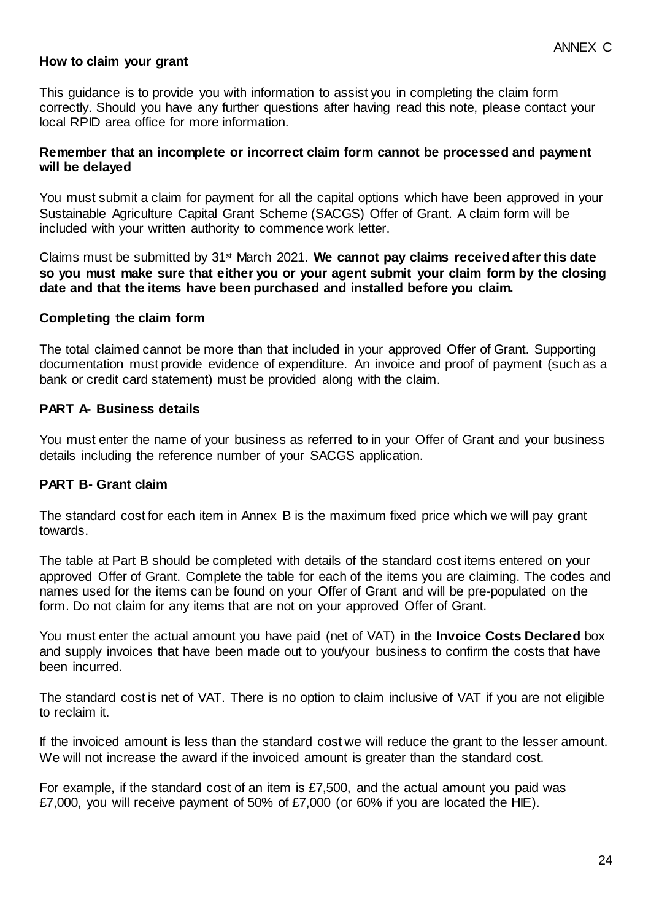#### **How to claim your grant**

This guidance is to provide you with information to assist you in completing the claim form correctly. Should you have any further questions after having read this note, please contact your local RPID area office for more information.

#### **Remember that an incomplete or incorrect claim form cannot be processed and payment will be delayed**

You must submit a claim for payment for all the capital options which have been approved in your Sustainable Agriculture Capital Grant Scheme (SACGS) Offer of Grant. A claim form will be included with your written authority to commence work letter.

Claims must be submitted by 31<sup>st</sup> March 2021. We cannot pay claims received after this date **so you must make sure that either you or your agent submit your claim form by the closing date and that the items have been purchased and installed before you claim.** 

#### **Completing the claim form**

The total claimed cannot be more than that included in your approved Offer of Grant. Supporting documentation must provide evidence of expenditure. An invoice and proof of payment (such as a bank or credit card statement) must be provided along with the claim.

#### **PART A- Business details**

You must enter the name of your business as referred to in your Offer of Grant and your business details including the reference number of your SACGS application.

## **PART B- Grant claim**

The standard cost for each item in Annex B is the maximum fixed price which we will pay grant towards.

The table at Part B should be completed with details of the standard cost items entered on your approved Offer of Grant. Complete the table for each of the items you are claiming. The codes and names used for the items can be found on your Offer of Grant and will be pre-populated on the form. Do not claim for any items that are not on your approved Offer of Grant.

You must enter the actual amount you have paid (net of VAT) in the **Invoice Costs Declared** box and supply invoices that have been made out to you/your business to confirm the costs that have been incurred.

The standard cost is net of VAT. There is no option to claim inclusive of VAT if you are not eligible to reclaim it.

If the invoiced amount is less than the standard cost we will reduce the grant to the lesser amount. We will not increase the award if the invoiced amount is greater than the standard cost.

For example, if the standard cost of an item is £7,500, and the actual amount you paid was £7,000, you will receive payment of 50% of £7,000 (or 60% if you are located the HIE).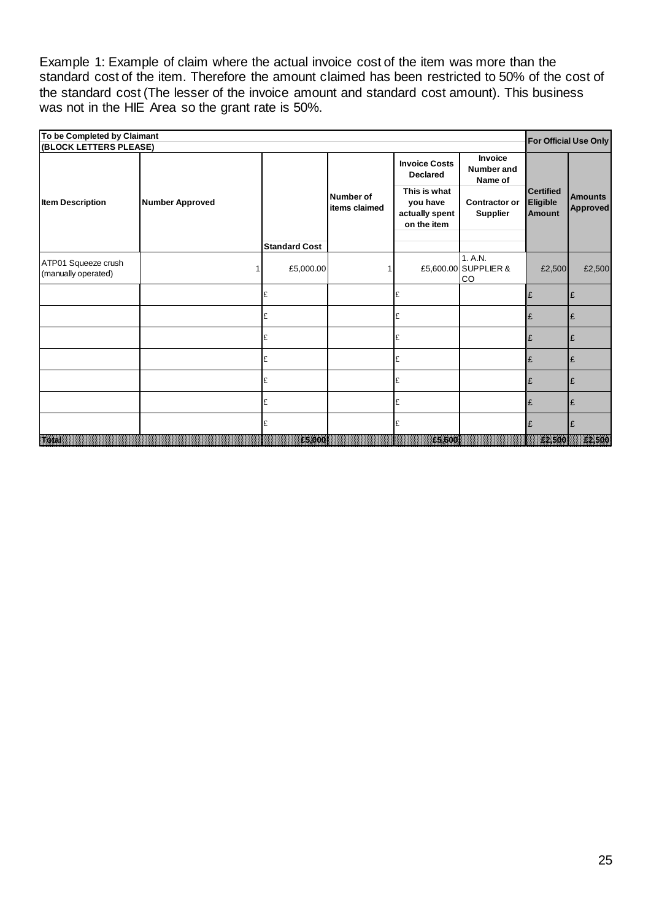Example 1: Example of claim where the actual invoice cost of the item was more than the standard cost of the item. Therefore the amount claimed has been restricted to 50% of the cost of the standard cost (The lesser of the invoice amount and standard cost amount). This business was not in the HIE Area so the grant rate is 50%.

| To be Completed by Claimant<br>(BLOCK LETTERS PLEASE) |                        |                      |                                   |                                                           |                                                |                                               | For Official Use Only             |
|-------------------------------------------------------|------------------------|----------------------|-----------------------------------|-----------------------------------------------------------|------------------------------------------------|-----------------------------------------------|-----------------------------------|
|                                                       |                        |                      |                                   | <b>Invoice Costs</b><br><b>Declared</b>                   | <b>Invoice</b><br><b>Number and</b><br>Name of |                                               |                                   |
| <b>Item Description</b>                               | <b>Number Approved</b> |                      | <b>Number of</b><br>items claimed | This is what<br>you have<br>actually spent<br>on the item | <b>Contractor or</b><br><b>Supplier</b>        | <b>Certified</b><br>Eligible<br><b>Amount</b> | <b>Amounts</b><br><b>Approved</b> |
|                                                       |                        | <b>Standard Cost</b> |                                   |                                                           |                                                |                                               |                                   |
| ATP01 Squeeze crush<br>(manually operated)            |                        | £5,000.00            |                                   |                                                           | 1. A.N.<br>£5,600.00 SUPPLIER &<br>CO          | £2,500                                        | £2,500                            |
|                                                       |                        |                      |                                   | £                                                         |                                                | £                                             | £                                 |
|                                                       |                        | £                    |                                   | £                                                         |                                                | £                                             | £                                 |
|                                                       |                        |                      |                                   | £                                                         |                                                | £                                             | £                                 |
|                                                       |                        | £                    |                                   | £                                                         |                                                | £                                             | £                                 |
|                                                       |                        |                      |                                   | £                                                         |                                                | F                                             | £                                 |
|                                                       |                        | £                    |                                   | £                                                         |                                                | F                                             |                                   |
|                                                       |                        |                      |                                   | £                                                         |                                                |                                               |                                   |
| E.                                                    |                        | <b>A5100</b>         | 19999999999999999                 | 836U                                                      |                                                | <b>BARBARA</b>                                | --                                |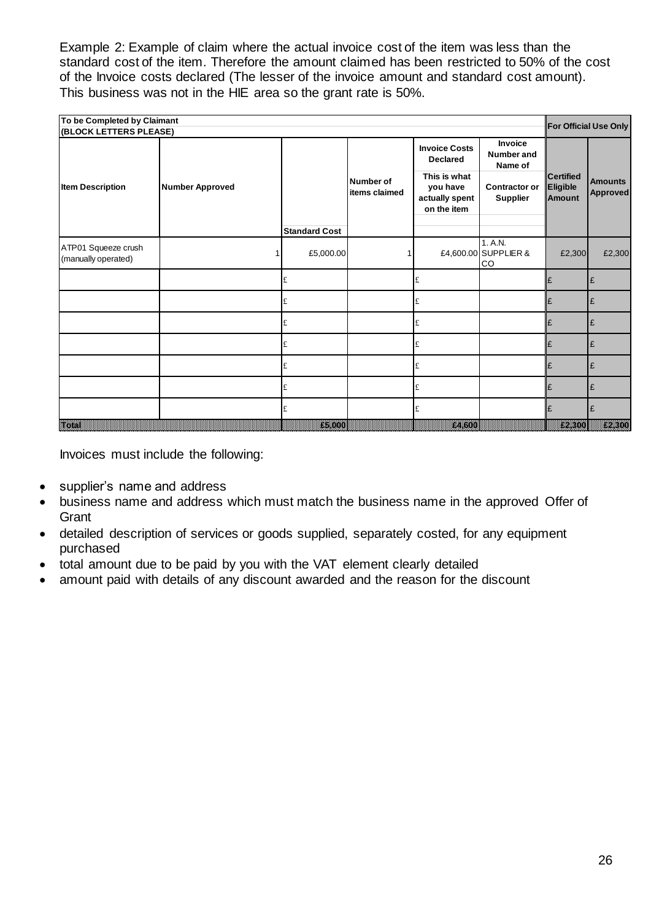Example 2: Example of claim where the actual invoice cost of the item was less than the standard cost of the item. Therefore the amount claimed has been restricted to 50% of the cost of the Invoice costs declared (The lesser of the invoice amount and standard cost amount). This business was not in the HIE area so the grant rate is 50%.

| To be Completed by Claimant<br>For Official Use Only<br>(BLOCK LETTERS PLEASE) |                        |                      |                                   |                                                           |                                         |                                               |                                   |  |  |
|--------------------------------------------------------------------------------|------------------------|----------------------|-----------------------------------|-----------------------------------------------------------|-----------------------------------------|-----------------------------------------------|-----------------------------------|--|--|
|                                                                                |                        |                      |                                   | <b>Invoice Costs</b><br><b>Declared</b>                   | Invoice<br>Number and<br>Name of        |                                               |                                   |  |  |
| <b>Item Description</b>                                                        | <b>Number Approved</b> |                      | <b>Number of</b><br>items claimed | This is what<br>you have<br>actually spent<br>on the item | <b>Contractor or</b><br><b>Supplier</b> | <b>Certified</b><br>Eligible<br><b>Amount</b> | <b>Amounts</b><br><b>Approved</b> |  |  |
|                                                                                |                        | <b>Standard Cost</b> |                                   |                                                           |                                         |                                               |                                   |  |  |
| ATP01 Squeeze crush<br>(manually operated)                                     |                        | £5,000.00            |                                   |                                                           | 1. A.N.<br>£4,600.00 SUPPLIER &<br>CO   | £2,300                                        | £2,300                            |  |  |
|                                                                                |                        |                      |                                   | £                                                         |                                         | £                                             | £                                 |  |  |
|                                                                                |                        | £                    |                                   | £                                                         |                                         | £                                             | £                                 |  |  |
|                                                                                |                        | £                    |                                   | £                                                         |                                         | £                                             | £                                 |  |  |
|                                                                                |                        | £                    |                                   | £                                                         |                                         | Ι£                                            | £                                 |  |  |
|                                                                                |                        | £                    |                                   | £                                                         |                                         | £                                             | £                                 |  |  |
|                                                                                |                        | £                    |                                   | £                                                         |                                         | Ι£                                            | £                                 |  |  |
|                                                                                |                        | £                    |                                   | £                                                         |                                         | £                                             | £                                 |  |  |
| e Berne                                                                        |                        |                      |                                   | 84600                                                     |                                         | <b>12800</b>                                  | popopopopop<br>Carl Hill          |  |  |

Invoices must include the following:

- supplier's name and address
- business name and address which must match the business name in the approved Offer of **Grant**
- detailed description of services or goods supplied, separately costed, for any equipment purchased
- total amount due to be paid by you with the VAT element clearly detailed
- amount paid with details of any discount awarded and the reason for the discount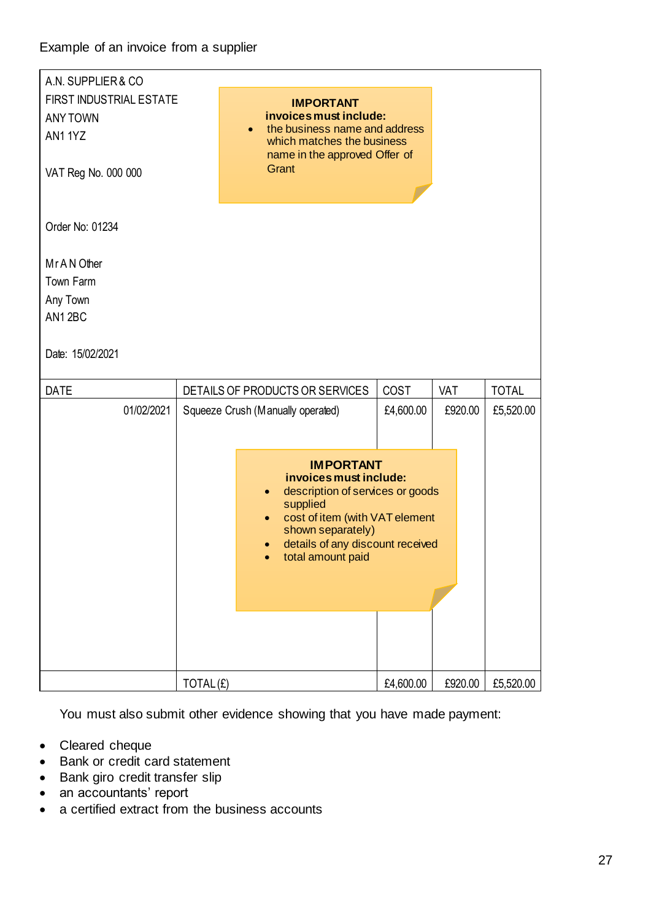| A.N. SUPPLIER & CO      |  |                                                                                                                                                                                                                                      |           |         |              |  |  |
|-------------------------|--|--------------------------------------------------------------------------------------------------------------------------------------------------------------------------------------------------------------------------------------|-----------|---------|--------------|--|--|
| FIRST INDUSTRIAL ESTATE |  | <b>IMPORTANT</b>                                                                                                                                                                                                                     |           |         |              |  |  |
| <b>ANY TOWN</b>         |  | invoices must include:<br>the business name and address                                                                                                                                                                              |           |         |              |  |  |
| AN11YZ                  |  | $\bullet$<br>which matches the business                                                                                                                                                                                              |           |         |              |  |  |
|                         |  | name in the approved Offer of                                                                                                                                                                                                        |           |         |              |  |  |
| VAT Reg No. 000 000     |  | Grant                                                                                                                                                                                                                                |           |         |              |  |  |
|                         |  |                                                                                                                                                                                                                                      |           |         |              |  |  |
| Order No: 01234         |  |                                                                                                                                                                                                                                      |           |         |              |  |  |
| Mr A N Other            |  |                                                                                                                                                                                                                                      |           |         |              |  |  |
| Town Farm               |  |                                                                                                                                                                                                                                      |           |         |              |  |  |
| Any Town                |  |                                                                                                                                                                                                                                      |           |         |              |  |  |
| AN12BC                  |  |                                                                                                                                                                                                                                      |           |         |              |  |  |
|                         |  |                                                                                                                                                                                                                                      |           |         |              |  |  |
| Date: 15/02/2021        |  |                                                                                                                                                                                                                                      |           |         |              |  |  |
| <b>DATE</b>             |  | DETAILS OF PRODUCTS OR SERVICES                                                                                                                                                                                                      | COST      |         |              |  |  |
|                         |  |                                                                                                                                                                                                                                      |           | VAT     | <b>TOTAL</b> |  |  |
| 01/02/2021              |  | Squeeze Crush (Manually operated)                                                                                                                                                                                                    | £4,600.00 | £920.00 | £5,520.00    |  |  |
|                         |  |                                                                                                                                                                                                                                      |           |         |              |  |  |
|                         |  |                                                                                                                                                                                                                                      |           |         |              |  |  |
|                         |  | <b>IMPORTANT</b><br>invoices must include:<br>description of services or goods<br>$\bullet$<br>supplied<br>cost of item (with VAT element<br>shown separately)<br>details of any discount received<br>$\bullet$<br>total amount paid |           |         |              |  |  |

You must also submit other evidence showing that you have made payment:

- Cleared cheque
- Bank or credit card statement
- Bank giro credit transfer slip
- an accountants' report
- a certified extract from the business accounts